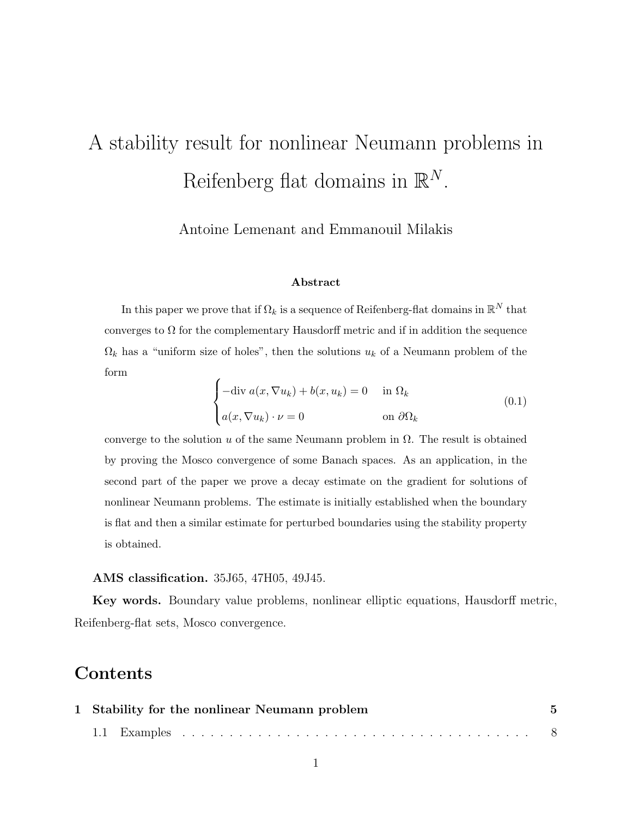# A stability result for nonlinear Neumann problems in Reifenberg flat domains in  $\mathbb{R}^N$ .

Antoine Lemenant and Emmanouil Milakis

#### Abstract

In this paper we prove that if  $\Omega_k$  is a sequence of Reifenberg-flat domains in  $\mathbb{R}^N$  that converges to  $\Omega$  for the complementary Hausdorff metric and if in addition the sequence  $\Omega_k$  has a "uniform size of holes", then the solutions  $u_k$  of a Neumann problem of the form

$$
\begin{cases}\n-\text{div } a(x, \nabla u_k) + b(x, u_k) = 0 & \text{in } \Omega_k \\
a(x, \nabla u_k) \cdot \nu = 0 & \text{on } \partial \Omega_k\n\end{cases}
$$
\n(0.1)

converge to the solution u of the same Neumann problem in  $\Omega$ . The result is obtained by proving the Mosco convergence of some Banach spaces. As an application, in the second part of the paper we prove a decay estimate on the gradient for solutions of nonlinear Neumann problems. The estimate is initially established when the boundary is flat and then a similar estimate for perturbed boundaries using the stability property is obtained.

#### AMS classification. 35J65, 47H05, 49J45.

Key words. Boundary value problems, nonlinear elliptic equations, Hausdorff metric, Reifenberg-flat sets, Mosco convergence.

### **Contents**

| 1 Stability for the nonlinear Neumann problem | $\sqrt{5}$ |
|-----------------------------------------------|------------|
|                                               |            |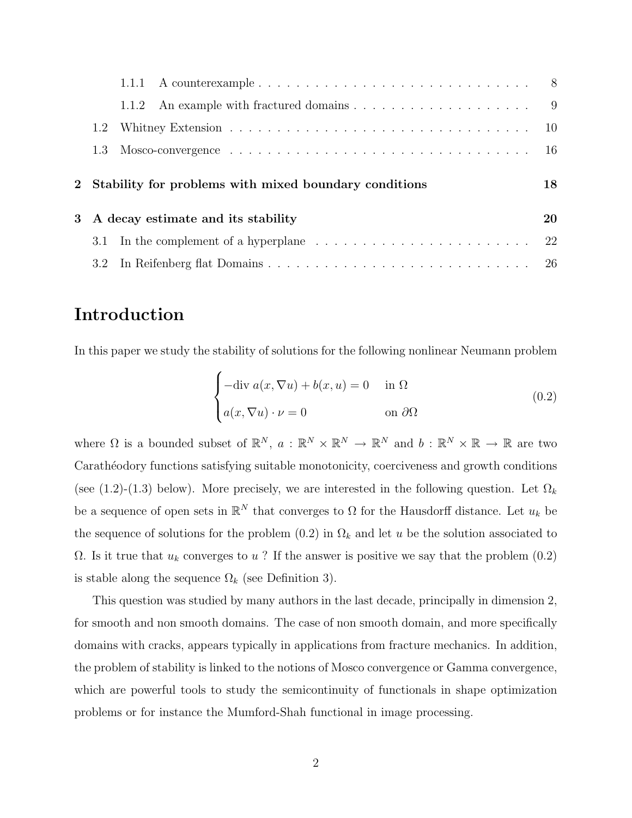|   |     | 1.1.1 A counterexample $\ldots \ldots \ldots \ldots \ldots \ldots \ldots \ldots \ldots \ldots$             |    |
|---|-----|------------------------------------------------------------------------------------------------------------|----|
|   |     |                                                                                                            |    |
|   | 1.2 |                                                                                                            |    |
|   | 1.3 | Mosco-convergence $\ldots \ldots \ldots \ldots \ldots \ldots \ldots \ldots \ldots \ldots \ldots \ldots 16$ |    |
|   |     |                                                                                                            |    |
|   |     | 2 Stability for problems with mixed boundary conditions                                                    | 18 |
| 3 |     | A decay estimate and its stability                                                                         | 20 |
|   | 3.1 | In the complement of a hyperplane $\dots \dots \dots \dots \dots \dots \dots \dots \dots$                  | 22 |

### Introduction

In this paper we study the stability of solutions for the following nonlinear Neumann problem

$$
\begin{cases}\n-\text{div } a(x, \nabla u) + b(x, u) = 0 & \text{in } \Omega \\
a(x, \nabla u) \cdot \nu = 0 & \text{on } \partial\Omega\n\end{cases}
$$
\n(0.2)

where  $\Omega$  is a bounded subset of  $\mathbb{R}^N$ ,  $a: \mathbb{R}^N \times \mathbb{R}^N \to \mathbb{R}^N$  and  $b: \mathbb{R}^N \times \mathbb{R} \to \mathbb{R}$  are two Carathéodory functions satisfying suitable monotonicity, coerciveness and growth conditions (see (1.2)-(1.3) below). More precisely, we are interested in the following question. Let  $\Omega_k$ be a sequence of open sets in  $\mathbb{R}^N$  that converges to  $\Omega$  for the Hausdorff distance. Let  $u_k$  be the sequence of solutions for the problem  $(0.2)$  in  $\Omega_k$  and let u be the solution associated to  $\Omega$ . Is it true that  $u_k$  converges to u? If the answer is positive we say that the problem  $(0.2)$ is stable along the sequence  $\Omega_k$  (see Definition 3).

This question was studied by many authors in the last decade, principally in dimension 2, for smooth and non smooth domains. The case of non smooth domain, and more specifically domains with cracks, appears typically in applications from fracture mechanics. In addition, the problem of stability is linked to the notions of Mosco convergence or Gamma convergence, which are powerful tools to study the semicontinuity of functionals in shape optimization problems or for instance the Mumford-Shah functional in image processing.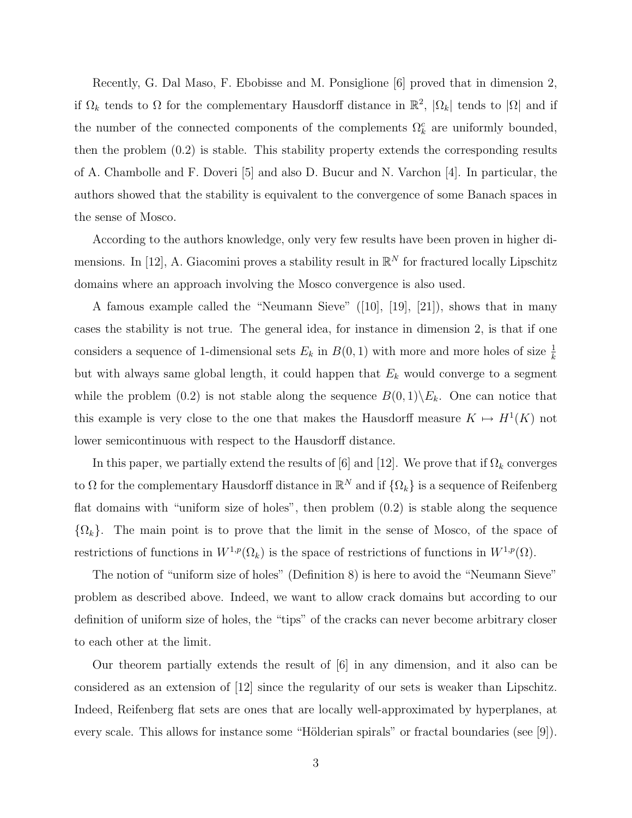Recently, G. Dal Maso, F. Ebobisse and M. Ponsiglione [6] proved that in dimension 2, if  $\Omega_k$  tends to  $\Omega$  for the complementary Hausdorff distance in  $\mathbb{R}^2$ ,  $|\Omega_k|$  tends to  $|\Omega|$  and if the number of the connected components of the complements  $\Omega_k^c$  are uniformly bounded, then the problem (0.2) is stable. This stability property extends the corresponding results of A. Chambolle and F. Doveri [5] and also D. Bucur and N. Varchon [4]. In particular, the authors showed that the stability is equivalent to the convergence of some Banach spaces in the sense of Mosco.

According to the authors knowledge, only very few results have been proven in higher dimensions. In [12], A. Giacomini proves a stability result in  $\mathbb{R}^N$  for fractured locally Lipschitz domains where an approach involving the Mosco convergence is also used.

A famous example called the "Neumann Sieve" ([10], [19], [21]), shows that in many cases the stability is not true. The general idea, for instance in dimension 2, is that if one considers a sequence of 1-dimensional sets  $E_k$  in  $B(0, 1)$  with more and more holes of size  $\frac{1}{k}$ but with always same global length, it could happen that  $E<sub>k</sub>$  would converge to a segment while the problem (0.2) is not stable along the sequence  $B(0, 1)\backslash E_k$ . One can notice that this example is very close to the one that makes the Hausdorff measure  $K \mapsto H^1(K)$  not lower semicontinuous with respect to the Hausdorff distance.

In this paper, we partially extend the results of [6] and [12]. We prove that if  $\Omega_k$  converges to  $\Omega$  for the complementary Hausdorff distance in  $\mathbb{R}^N$  and if  $\{\Omega_k\}$  is a sequence of Reifenberg flat domains with "uniform size of holes", then problem  $(0.2)$  is stable along the sequence  $\{\Omega_k\}$ . The main point is to prove that the limit in the sense of Mosco, of the space of restrictions of functions in  $W^{1,p}(\Omega_k)$  is the space of restrictions of functions in  $W^{1,p}(\Omega)$ .

The notion of "uniform size of holes" (Definition 8) is here to avoid the "Neumann Sieve" problem as described above. Indeed, we want to allow crack domains but according to our definition of uniform size of holes, the "tips" of the cracks can never become arbitrary closer to each other at the limit.

Our theorem partially extends the result of [6] in any dimension, and it also can be considered as an extension of [12] since the regularity of our sets is weaker than Lipschitz. Indeed, Reifenberg flat sets are ones that are locally well-approximated by hyperplanes, at every scale. This allows for instance some "Hölderian spirals" or fractal boundaries (see  $[9]$ ).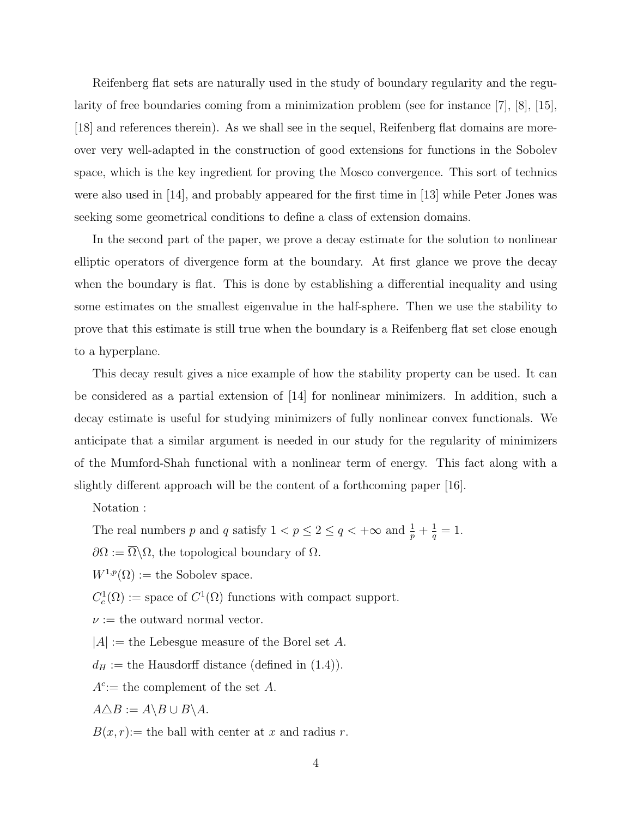Reifenberg flat sets are naturally used in the study of boundary regularity and the regularity of free boundaries coming from a minimization problem (see for instance [7], [8], [15], [18] and references therein). As we shall see in the sequel, Reifenberg flat domains are moreover very well-adapted in the construction of good extensions for functions in the Sobolev space, which is the key ingredient for proving the Mosco convergence. This sort of technics were also used in [14], and probably appeared for the first time in [13] while Peter Jones was seeking some geometrical conditions to define a class of extension domains.

In the second part of the paper, we prove a decay estimate for the solution to nonlinear elliptic operators of divergence form at the boundary. At first glance we prove the decay when the boundary is flat. This is done by establishing a differential inequality and using some estimates on the smallest eigenvalue in the half-sphere. Then we use the stability to prove that this estimate is still true when the boundary is a Reifenberg flat set close enough to a hyperplane.

This decay result gives a nice example of how the stability property can be used. It can be considered as a partial extension of [14] for nonlinear minimizers. In addition, such a decay estimate is useful for studying minimizers of fully nonlinear convex functionals. We anticipate that a similar argument is needed in our study for the regularity of minimizers of the Mumford-Shah functional with a nonlinear term of energy. This fact along with a slightly different approach will be the content of a forthcoming paper [16].

Notation :

The real numbers p and q satisfy  $1 < p \leq 2 \leq q < +\infty$  and  $\frac{1}{p} + \frac{1}{q}$  $\frac{1}{q} = 1.$ 

 $\partial\Omega := \overline{\Omega}\backslash\Omega$ , the topological boundary of  $\Omega$ .

 $W^{1,p}(\Omega) :=$  the Sobolev space.

 $C_c^1(\Omega) := \text{space of } C^1(\Omega) \text{ functions with compact support.}$ 

 $\nu :=$  the outward normal vector.

 $|A| :=$  the Lebesgue measure of the Borel set A.

 $d_H :=$  the Hausdorff distance (defined in (1.4)).

 $A^c$ : the complement of the set A.

 $A \triangle B := A \setminus B \cup B \setminus A$ .

 $B(x, r) :=$  the ball with center at x and radius r.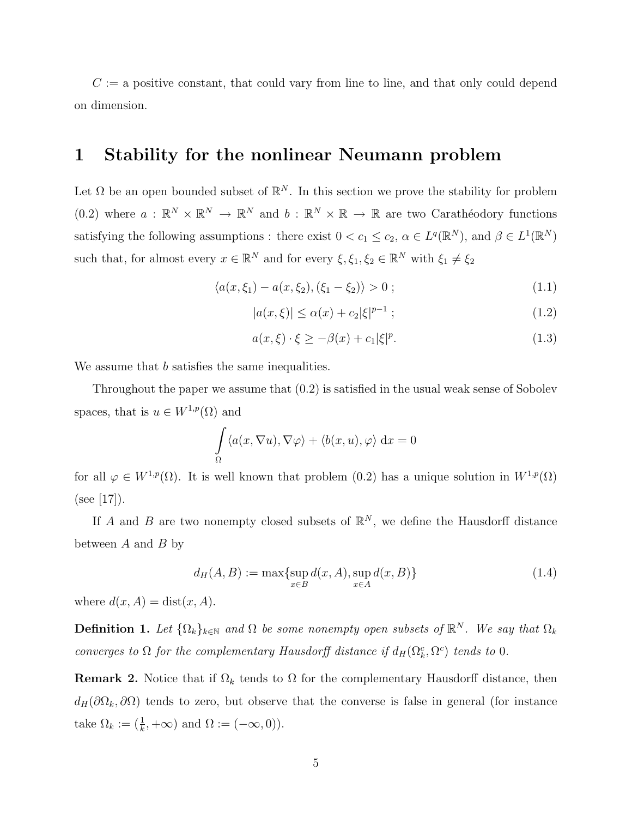$C := a$  positive constant, that could vary from line to line, and that only could depend on dimension.

### 1 Stability for the nonlinear Neumann problem

Let  $\Omega$  be an open bounded subset of  $\mathbb{R}^N$ . In this section we prove the stability for problem  $(0.2)$  where  $a: \mathbb{R}^N \times \mathbb{R}^N \to \mathbb{R}^N$  and  $b: \mathbb{R}^N \times \mathbb{R} \to \mathbb{R}$  are two Carathéodory functions satisfying the following assumptions : there exist  $0 < c_1 \leq c_2$ ,  $\alpha \in L^q(\mathbb{R}^N)$ , and  $\beta \in L^1(\mathbb{R}^N)$ such that, for almost every  $x \in \mathbb{R}^N$  and for every  $\xi, \xi_1, \xi_2 \in \mathbb{R}^N$  with  $\xi_1 \neq \xi_2$ 

$$
\langle a(x,\xi_1) - a(x,\xi_2), (\xi_1 - \xi_2) \rangle > 0 ; \qquad (1.1)
$$

$$
|a(x,\xi)| \le \alpha(x) + c_2 |\xi|^{p-1} ; \tag{1.2}
$$

$$
a(x,\xi)\cdot\xi \ge -\beta(x) + c_1|\xi|^p. \tag{1.3}
$$

We assume that b satisfies the same inequalities.

Throughout the paper we assume that (0.2) is satisfied in the usual weak sense of Sobolev spaces, that is  $u \in W^{1,p}(\Omega)$  and

$$
\int_{\Omega} \langle a(x, \nabla u), \nabla \varphi \rangle + \langle b(x, u), \varphi \rangle \, dx = 0
$$

for all  $\varphi \in W^{1,p}(\Omega)$ . It is well known that problem  $(0.2)$  has a unique solution in  $W^{1,p}(\Omega)$  $(see [17]).$ 

If A and B are two nonempty closed subsets of  $\mathbb{R}^N$ , we define the Hausdorff distance between  $A$  and  $B$  by

$$
d_H(A, B) := \max \{ \sup_{x \in B} d(x, A), \sup_{x \in A} d(x, B) \}
$$
(1.4)

where  $d(x, A) = \text{dist}(x, A)$ .

**Definition 1.** Let  $\{\Omega_k\}_{k\in\mathbb{N}}$  and  $\Omega$  be some nonempty open subsets of  $\mathbb{R}^N$ . We say that  $\Omega_k$ converges to  $\Omega$  for the complementary Hausdorff distance if  $d_H(\Omega_k^c, \Omega^c)$  tends to 0.

**Remark 2.** Notice that if  $\Omega_k$  tends to  $\Omega$  for the complementary Hausdorff distance, then  $d_H(\partial\Omega_k, \partial\Omega)$  tends to zero, but observe that the converse is false in general (for instance take  $\Omega_k := (\frac{1}{k}, +\infty)$  and  $\Omega := (-\infty, 0)$ .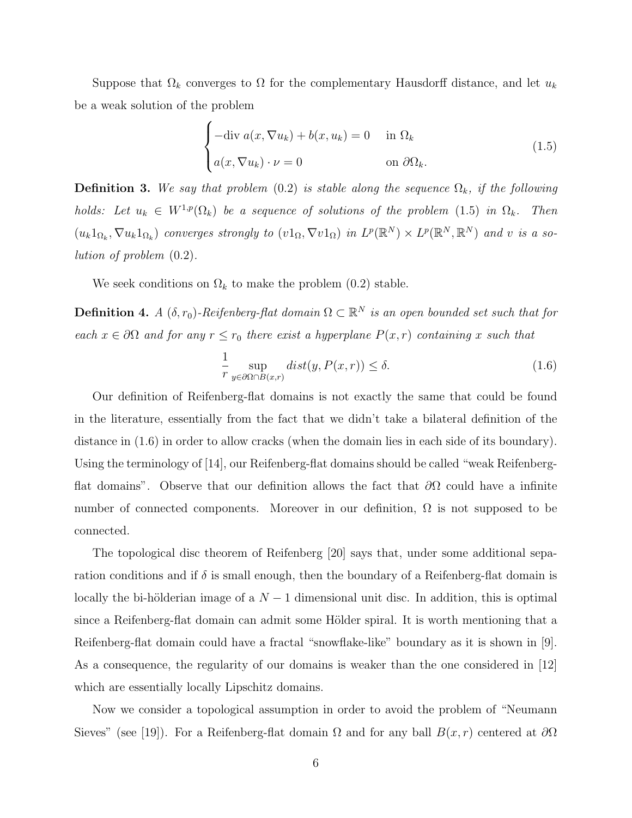Suppose that  $\Omega_k$  converges to  $\Omega$  for the complementary Hausdorff distance, and let  $u_k$ be a weak solution of the problem

$$
\begin{cases}\n-\text{div } a(x, \nabla u_k) + b(x, u_k) = 0 & \text{in } \Omega_k \\
a(x, \nabla u_k) \cdot \nu = 0 & \text{on } \partial \Omega_k.\n\end{cases}
$$
\n(1.5)

**Definition 3.** We say that problem (0.2) is stable along the sequence  $\Omega_k$ , if the following holds: Let  $u_k \in W^{1,p}(\Omega_k)$  be a sequence of solutions of the problem (1.5) in  $\Omega_k$ . Then  $(u_k 1_{\Omega_k}, \nabla u_k 1_{\Omega_k})$  converges strongly to  $(v1_{\Omega}, \nabla v1_{\Omega})$  in  $L^p(\mathbb{R}^N) \times L^p(\mathbb{R}^N, \mathbb{R}^N)$  and v is a solution of problem (0.2).

We seek conditions on  $\Omega_k$  to make the problem (0.2) stable.

**Definition 4.** A  $(\delta, r_0)$ -Reifenberg-flat domain  $\Omega \subset \mathbb{R}^N$  is an open bounded set such that for each  $x \in \partial\Omega$  and for any  $r \leq r_0$  there exist a hyperplane  $P(x, r)$  containing x such that

$$
\frac{1}{r} \sup_{y \in \partial \Omega \cap B(x,r)} dist(y, P(x,r)) \le \delta.
$$
\n(1.6)

Our definition of Reifenberg-flat domains is not exactly the same that could be found in the literature, essentially from the fact that we didn't take a bilateral definition of the distance in (1.6) in order to allow cracks (when the domain lies in each side of its boundary). Using the terminology of [14], our Reifenberg-flat domains should be called "weak Reifenbergflat domains". Observe that our definition allows the fact that  $\partial\Omega$  could have a infinite number of connected components. Moreover in our definition,  $\Omega$  is not supposed to be connected.

The topological disc theorem of Reifenberg [20] says that, under some additional separation conditions and if  $\delta$  is small enough, then the boundary of a Reifenberg-flat domain is locally the bi-hölderian image of a  $N-1$  dimensional unit disc. In addition, this is optimal since a Reifenberg-flat domain can admit some Hölder spiral. It is worth mentioning that a Reifenberg-flat domain could have a fractal "snowflake-like" boundary as it is shown in [9]. As a consequence, the regularity of our domains is weaker than the one considered in [12] which are essentially locally Lipschitz domains.

Now we consider a topological assumption in order to avoid the problem of "Neumann Sieves" (see [19]). For a Reifenberg-flat domain  $\Omega$  and for any ball  $B(x, r)$  centered at  $\partial\Omega$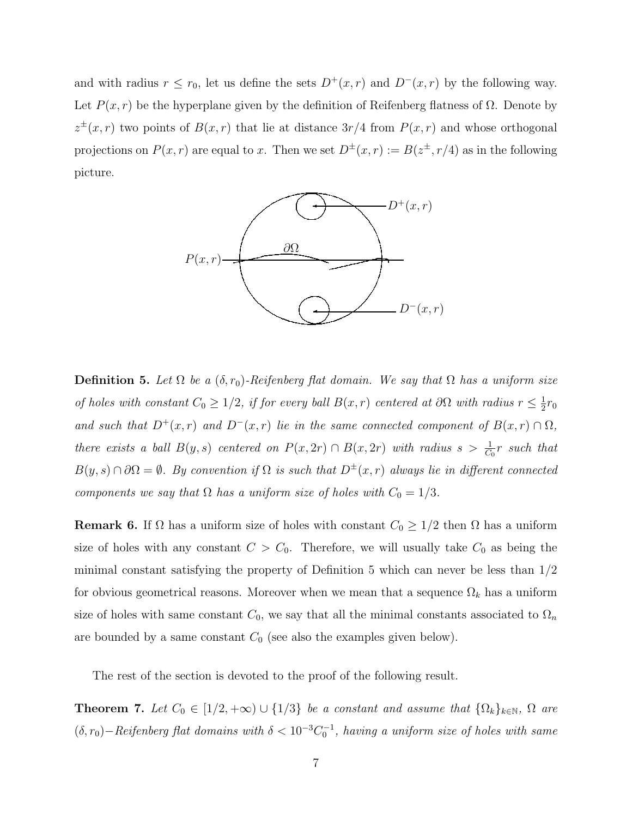and with radius  $r \le r_0$ , let us define the sets  $D^+(x,r)$  and  $D^-(x,r)$  by the following way. Let  $P(x, r)$  be the hyperplane given by the definition of Reifenberg flatness of  $\Omega$ . Denote by  $z^{\pm}(x,r)$  two points of  $B(x,r)$  that lie at distance  $3r/4$  from  $P(x,r)$  and whose orthogonal projections on  $P(x, r)$  are equal to x. Then we set  $D^{\pm}(x, r) := B(z^{\pm}, r/4)$  as in the following picture.



**Definition 5.** Let  $\Omega$  be a  $(\delta, r_0)$ -Reifenberg flat domain. We say that  $\Omega$  has a uniform size of holes with constant  $C_0 \geq 1/2$ , if for every ball  $B(x,r)$  centered at  $\partial\Omega$  with radius  $r \leq \frac{1}{2}$  $rac{1}{2}r_0$ and such that  $D^+(x,r)$  and  $D^-(x,r)$  lie in the same connected component of  $B(x,r) \cap \Omega$ , there exists a ball  $B(y, s)$  centered on  $P(x, 2r) \cap B(x, 2r)$  with radius  $s > \frac{1}{C_0}r$  such that  $B(y, s) \cap \partial\Omega = \emptyset$ . By convention if  $\Omega$  is such that  $D^{\pm}(x, r)$  always lie in different connected components we say that  $\Omega$  has a uniform size of holes with  $C_0 = 1/3$ .

**Remark 6.** If  $\Omega$  has a uniform size of holes with constant  $C_0 \geq 1/2$  then  $\Omega$  has a uniform size of holes with any constant  $C > C_0$ . Therefore, we will usually take  $C_0$  as being the minimal constant satisfying the property of Definition 5 which can never be less than 1/2 for obvious geometrical reasons. Moreover when we mean that a sequence  $\Omega_k$  has a uniform size of holes with same constant  $C_0$ , we say that all the minimal constants associated to  $\Omega_n$ are bounded by a same constant  $C_0$  (see also the examples given below).

The rest of the section is devoted to the proof of the following result.

**Theorem 7.** Let  $C_0 \in [1/2, +\infty) \cup \{1/3\}$  be a constant and assume that  $\{\Omega_k\}_{k \in \mathbb{N}}$ ,  $\Omega$  are  $(\delta, r_0) -$ Reifenberg flat domains with  $\delta < 10^{-3}C_0^{-1}$ , having a uniform size of holes with same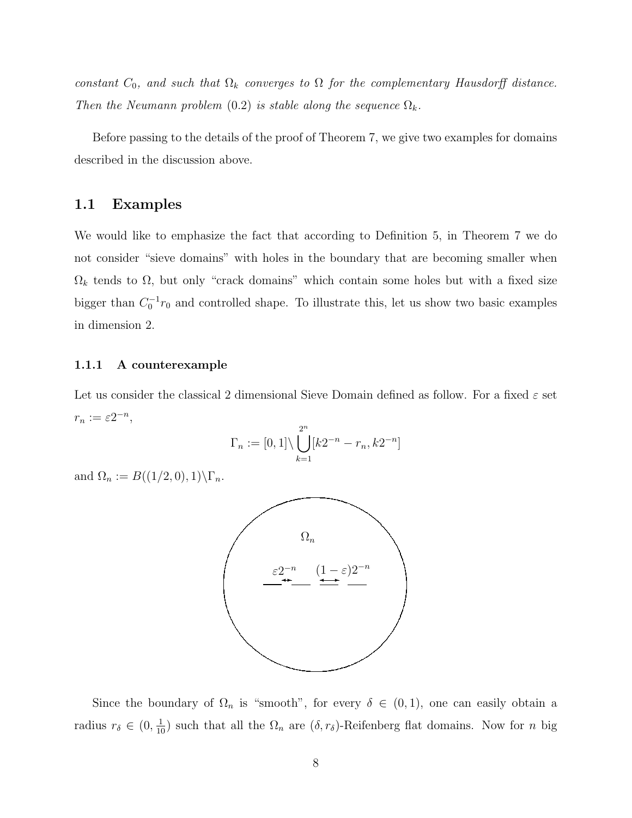constant  $C_0$ , and such that  $\Omega_k$  converges to  $\Omega$  for the complementary Hausdorff distance. Then the Neumann problem (0.2) is stable along the sequence  $\Omega_k$ .

Before passing to the details of the proof of Theorem 7, we give two examples for domains described in the discussion above.

#### 1.1 Examples

We would like to emphasize the fact that according to Definition 5, in Theorem 7 we do not consider "sieve domains" with holes in the boundary that are becoming smaller when  $\Omega_k$  tends to  $\Omega$ , but only "crack domains" which contain some holes but with a fixed size bigger than  $C_0^{-1}r_0$  and controlled shape. To illustrate this, let us show two basic examples in dimension 2.

#### 1.1.1 A counterexample

Let us consider the classical 2 dimensional Sieve Domain defined as follow. For a fixed  $\varepsilon$  set  $r_n := \varepsilon 2^{-n},$ 

$$
\Gamma_n := [0, 1] \setminus \bigcup_{k=1}^{2^n} [k2^{-n} - r_n, k2^{-n}]
$$

and  $\Omega_n := B((1/2, 0), 1) \backslash \Gamma_n$ .



Since the boundary of  $\Omega_n$  is "smooth", for every  $\delta \in (0,1)$ , one can easily obtain a radius  $r_\delta \in (0, \frac{1}{10})$  such that all the  $\Omega_n$  are  $(\delta, r_\delta)$ -Reifenberg flat domains. Now for n big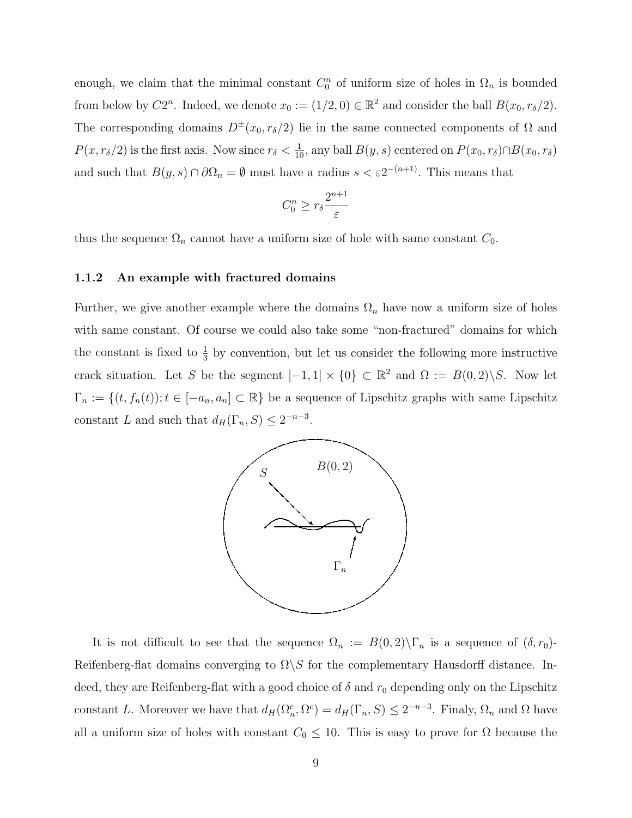enough, we claim that the minimal constant  $C_0^n$  of uniform size of holes in  $\Omega_n$  is bounded from below by  $C2^n$ . Indeed, we denote  $x_0 := (1/2, 0) \in \mathbb{R}^2$  and consider the ball  $B(x_0, r_\delta/2)$ . The corresponding domains  $D^{\pm}(x_0, r_\delta/2)$  lie in the same connected components of  $\Omega$  and  $P(x, r_\delta/2)$  is the first axis. Now since  $r_\delta < \frac{1}{10}$ , any ball  $B(y, s)$  centered on  $P(x_0, r_\delta) \cap B(x_0, r_\delta)$ and such that  $B(y, s) \cap \partial\Omega_n = \emptyset$  must have a radius  $s < \varepsilon 2^{-(n+1)}$ . This means that

$$
C_0^n \geq r_\delta \frac{2^{n+1}}{\varepsilon}
$$

thus the sequence  $\Omega_n$  cannot have a uniform size of hole with same constant  $C_0$ .

#### 1.1.2 An example with fractured domains

Further, we give another example where the domains  $\Omega_n$  have now a uniform size of holes with same constant. Of course we could also take some "non-fractured" domains for which the constant is fixed to  $\frac{1}{3}$  by convention, but let us consider the following more instructive crack situation. Let S be the segment  $[-1,1] \times \{0\} \subset \mathbb{R}^2$  and  $\Omega := B(0,2) \backslash S$ . Now let  $\Gamma_n := \{(t, f_n(t)); t \in [-a_n, a_n] \subset \mathbb{R}\}$  be a sequence of Lipschitz graphs with same Lipschitz constant L and such that  $d_H(\Gamma_n, S) \leq 2^{-n-3}$ .



It is not difficult to see that the sequence  $\Omega_n := B(0,2)\setminus \Gamma_n$  is a sequence of  $(\delta, r_0)$ -Reifenberg-flat domains converging to  $\Omega \backslash S$  for the complementary Hausdorff distance. Indeed, they are Reifenberg-flat with a good choice of  $\delta$  and  $r_0$  depending only on the Lipschitz constant L. Moreover we have that  $d_H(\Omega_n^c, \Omega^c) = d_H(\Gamma_n, S) \leq 2^{-n-3}$ . Finaly,  $\Omega_n$  and  $\Omega$  have all a uniform size of holes with constant  $C_0 \leq 10$ . This is easy to prove for  $\Omega$  because the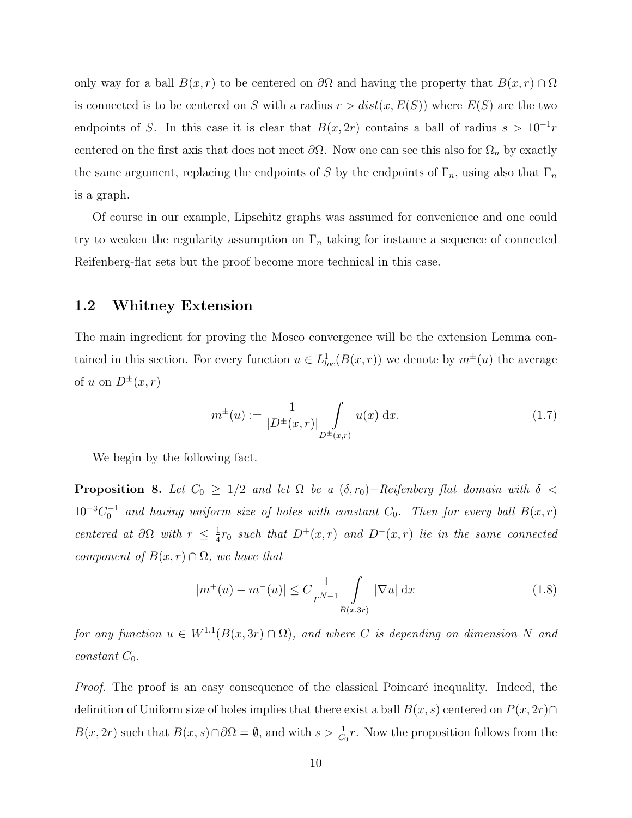only way for a ball  $B(x, r)$  to be centered on  $\partial\Omega$  and having the property that  $B(x, r) \cap \Omega$ is connected is to be centered on S with a radius  $r > dist(x, E(S))$  where  $E(S)$  are the two endpoints of S. In this case it is clear that  $B(x, 2r)$  contains a ball of radius  $s > 10^{-1}r$ centered on the first axis that does not meet  $\partial\Omega$ . Now one can see this also for  $\Omega_n$  by exactly the same argument, replacing the endpoints of S by the endpoints of  $\Gamma_n$ , using also that  $\Gamma_n$ is a graph.

Of course in our example, Lipschitz graphs was assumed for convenience and one could try to weaken the regularity assumption on  $\Gamma_n$  taking for instance a sequence of connected Reifenberg-flat sets but the proof become more technical in this case.

#### 1.2 Whitney Extension

The main ingredient for proving the Mosco convergence will be the extension Lemma contained in this section. For every function  $u \in L^1_{loc}(B(x,r))$  we denote by  $m^{\pm}(u)$  the average of u on  $D^{\pm}(x,r)$ 

$$
m^{\pm}(u) := \frac{1}{|D^{\pm}(x,r)|} \int_{D^{\pm}(x,r)} u(x) \, dx. \tag{1.7}
$$

We begin by the following fact.

**Proposition 8.** Let  $C_0 \geq 1/2$  and let  $\Omega$  be a  $(\delta, r_0)$ -Reifenberg flat domain with  $\delta$  <  $10^{-3}C_0^{-1}$  and having uniform size of holes with constant  $C_0$ . Then for every ball  $B(x,r)$ centered at  $\partial \Omega$  with  $r \leq \frac{1}{4}$  $\frac{1}{4}r_0$  such that  $D^+(x,r)$  and  $D^-(x,r)$  lie in the same connected component of  $B(x, r) \cap \Omega$ , we have that

$$
|m^{+}(u) - m^{-}(u)| \leq C \frac{1}{r^{N-1}} \int\limits_{B(x,3r)} |\nabla u| \, \mathrm{d}x \tag{1.8}
$$

for any function  $u \in W^{1,1}(B(x, 3r) \cap \Omega)$ , and where C is depending on dimension N and constant  $C_0$ .

Proof. The proof is an easy consequence of the classical Poincaré inequality. Indeed, the definition of Uniform size of holes implies that there exist a ball  $B(x, s)$  centered on  $P(x, 2r) \cap$  $B(x, 2r)$  such that  $B(x, s) \cap \partial\Omega = \emptyset$ , and with  $s > \frac{1}{C_0}r$ . Now the proposition follows from the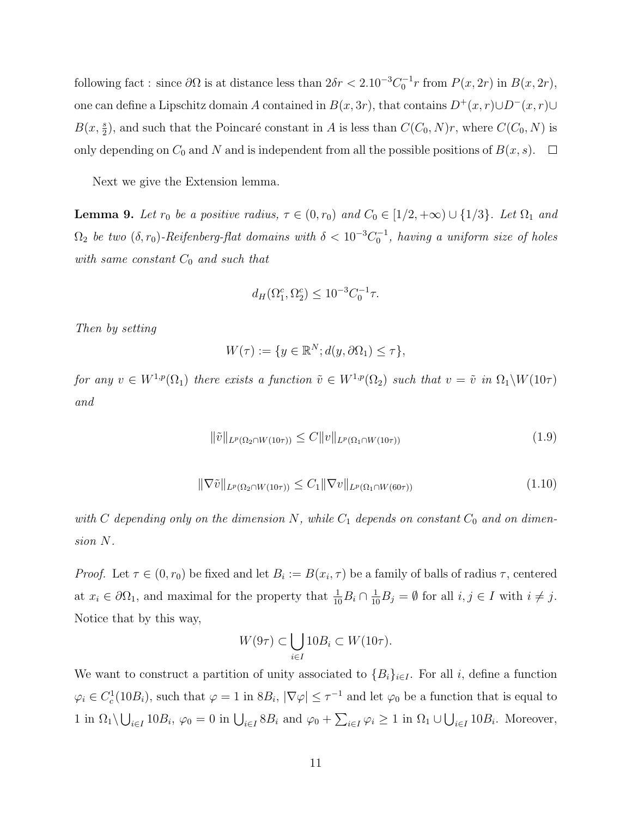following fact : since  $\partial\Omega$  is at distance less than  $2\delta r < 2.10^{-3}C_0^{-1}r$  from  $P(x, 2r)$  in  $B(x, 2r)$ , one can define a Lipschitz domain A contained in  $B(x, 3r)$ , that contains  $D^+(x, r) \cup D^-(x, r) \cup$  $B(x, \frac{s}{2})$ , and such that the Poincaré constant in A is less than  $C(C_0, N)r$ , where  $C(C_0, N)$  is only depending on  $C_0$  and N and is independent from all the possible positions of  $B(x, s)$ .  $\Box$ 

Next we give the Extension lemma.

**Lemma 9.** Let  $r_0$  be a positive radius,  $\tau \in (0, r_0)$  and  $C_0 \in [1/2, +\infty) \cup \{1/3\}$ . Let  $\Omega_1$  and  $\Omega_2$  be two  $(\delta, r_0)$ -Reifenberg-flat domains with  $\delta < 10^{-3}C_0^{-1}$ , having a uniform size of holes with same constant  $C_0$  and such that

$$
d_H(\Omega_1^c, \Omega_2^c) \le 10^{-3} C_0^{-1} \tau.
$$

Then by setting

$$
W(\tau) := \{ y \in \mathbb{R}^N; d(y, \partial \Omega_1) \le \tau \},
$$

for any  $v \in W^{1,p}(\Omega_1)$  there exists a function  $\tilde{v} \in W^{1,p}(\Omega_2)$  such that  $v = \tilde{v}$  in  $\Omega_1 \backslash W(10\tau)$ and

$$
\|\tilde{v}\|_{L^p(\Omega_2 \cap W(10\tau))} \le C \|v\|_{L^p(\Omega_1 \cap W(10\tau))}
$$
\n
$$
(1.9)
$$

$$
\|\nabla \tilde{v}\|_{L^p(\Omega_2 \cap W(10\tau))} \le C_1 \|\nabla v\|_{L^p(\Omega_1 \cap W(60\tau))} \tag{1.10}
$$

with C depending only on the dimension N, while  $C_1$  depends on constant  $C_0$  and on dimension N.

Proof. Let  $\tau \in (0, r_0)$  be fixed and let  $B_i := B(x_i, \tau)$  be a family of balls of radius  $\tau$ , centered at  $x_i \in \partial \Omega_1$ , and maximal for the property that  $\frac{1}{10}B_i \cap \frac{1}{10}B_j = \emptyset$  for all  $i, j \in I$  with  $i \neq j$ . Notice that by this way,

$$
W(9\tau) \subset \bigcup_{i \in I} 10B_i \subset W(10\tau).
$$

We want to construct a partition of unity associated to  ${B_i}_{i\in I}$ . For all i, define a function  $\varphi_i \in C_c^1(10B_i)$ , such that  $\varphi = 1$  in  $8B_i$ ,  $|\nabla \varphi| \leq \tau^{-1}$  and let  $\varphi_0$  be a function that is equal to 1 in  $\Omega_1 \setminus \bigcup_{i \in I} 10B_i$ ,  $\varphi_0 = 0$  in  $\bigcup_{i \in I} 8B_i$  and  $\varphi_0 + \sum_{i \in I} \varphi_i \ge 1$  in  $\Omega_1 \cup \bigcup_{i \in I} 10B_i$ . Moreover,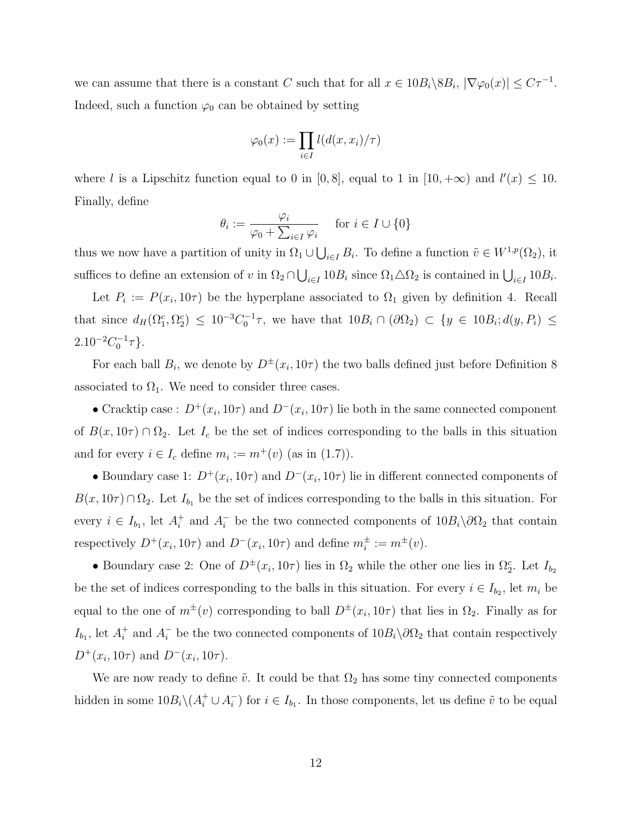we can assume that there is a constant C such that for all  $x \in 10B_i \setminus 8B_i$ ,  $|\nabla \varphi_0(x)| \leq C\tau^{-1}$ . Indeed, such a function  $\varphi_0$  can be obtained by setting

$$
\varphi_0(x):=\prod_{i\in I}l(d(x,x_i)/\tau)
$$

where l is a Lipschitz function equal to 0 in [0,8], equal to 1 in [10, + $\infty$ ) and  $l'(x) \leq 10$ . Finally, define

$$
\theta_i := \frac{\varphi_i}{\varphi_0 + \sum_{i \in I} \varphi_i} \quad \text{ for } i \in I \cup \{0\}
$$

thus we now have a partition of unity in  $\Omega_1 \cup \bigcup_{i \in I} B_i$ . To define a function  $\tilde{v} \in W^{1,p}(\Omega_2)$ , it suffices to define an extension of v in  $\Omega_2 \cap \bigcup_{i \in I} 10B_i$  since  $\Omega_1 \triangle \Omega_2$  is contained in  $\bigcup_{i \in I} 10B_i$ .

Let  $P_i := P(x_i, 10\tau)$  be the hyperplane associated to  $\Omega_1$  given by definition 4. Recall that since  $d_H(\Omega_1^c, \Omega_2^c) \leq 10^{-3}C_0^{-1}\tau$ , we have that  $10B_i \cap (\partial \Omega_2) \subset \{y \in 10B_i; d(y, P_i) \leq$  $2.10^{-2}C_0^{-1}\tau$ .

For each ball  $B_i$ , we denote by  $D^{\pm}(x_i, 10\tau)$  the two balls defined just before Definition 8 associated to  $\Omega_1$ . We need to consider three cases.

• Cracktip case:  $D^+(x_i, 10\tau)$  and  $D^-(x_i, 10\tau)$  lie both in the same connected component of  $B(x, 10\tau) \cap \Omega_2$ . Let  $I_c$  be the set of indices corresponding to the balls in this situation and for every  $i \in I_c$  define  $m_i := m^+(v)$  (as in (1.7)).

• Boundary case 1:  $D^+(x_i, 10\tau)$  and  $D^-(x_i, 10\tau)$  lie in different connected components of  $B(x, 10\tau) \cap \Omega_2$ . Let  $I_{b_1}$  be the set of indices corresponding to the balls in this situation. For every  $i \in I_{b_1}$ , let  $A_i^+$ <sup>+</sup> and  $A_i^-$  be the two connected components of  $10B_i\backslash\partial\Omega_2$  that contain respectively  $D^+(x_i, 10\tau)$  and  $D^-(x_i, 10\tau)$  and define  $m_i^{\pm} := m^{\pm}(v)$ .

• Boundary case 2: One of  $D^{\pm}(x_i, 10\tau)$  lies in  $\Omega_2$  while the other one lies in  $\Omega_2^c$ . Let  $I_{b_2}$ be the set of indices corresponding to the balls in this situation. For every  $i \in I_{b_2}$ , let  $m_i$  be equal to the one of  $m^{\pm}(v)$  corresponding to ball  $D^{\pm}(x_i, 10\tau)$  that lies in  $\Omega_2$ . Finally as for  $I_{b_1}$ , let  $A_i^+$ <sup>+</sup> and  $A_i^-$  be the two connected components of  $10B_i\backslash\partial\Omega_2$  that contain respectively  $D^+(x_i, 10\tau)$  and  $D^-(x_i, 10\tau)$ .

We are now ready to define  $\tilde{v}$ . It could be that  $\Omega_2$  has some tiny connected components hidden in some  $10B_i \backslash (A_i^+ \cup A_i^-)$  $\bar{i}$ ) for  $i \in I_{b_1}$ . In those components, let us define  $\tilde{v}$  to be equal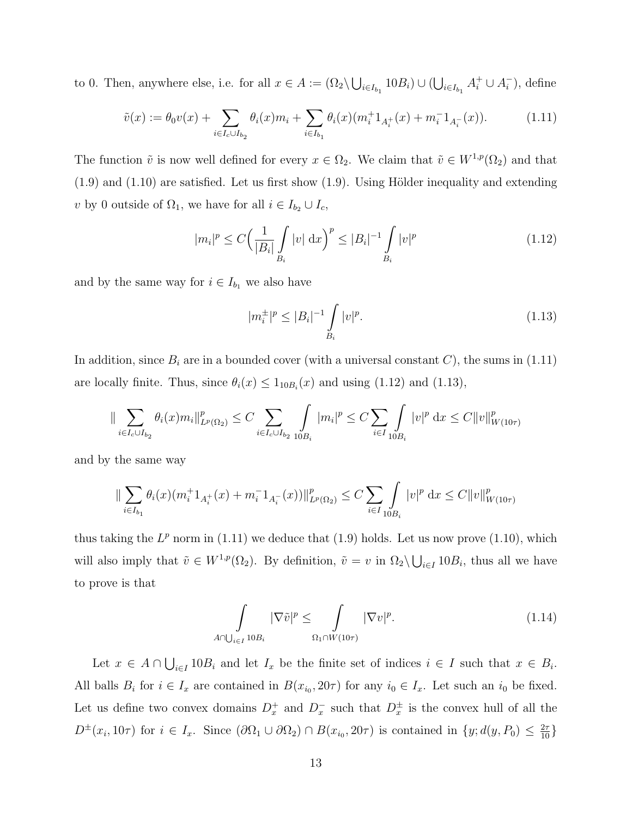to 0. Then, anywhere else, i.e. for all  $x \in A := (\Omega_2 \setminus \bigcup_{i \in I_{b_1}} 10B_i) \cup (\bigcup_{i \in I_{b_1}} A_i^+ \cup A_i^-)$  $\binom{1}{i}$ , define

$$
\tilde{v}(x) := \theta_0 v(x) + \sum_{i \in I_c \cup I_{b_2}} \theta_i(x) m_i + \sum_{i \in I_{b_1}} \theta_i(x) (m_i^+ 1_{A_i^+}(x) + m_i^- 1_{A_i^-}(x)). \tag{1.11}
$$

The function  $\tilde{v}$  is now well defined for every  $x \in \Omega_2$ . We claim that  $\tilde{v} \in W^{1,p}(\Omega_2)$  and that  $(1.9)$  and  $(1.10)$  are satisfied. Let us first show  $(1.9)$ . Using Hölder inequality and extending v by 0 outside of  $\Omega_1$ , we have for all  $i \in I_{b_2} \cup I_c$ ,

$$
|m_i|^p \le C \Big(\frac{1}{|B_i|} \int\limits_{B_i} |v| \, \mathrm{d}x \Big)^p \le |B_i|^{-1} \int\limits_{B_i} |v|^p \tag{1.12}
$$

and by the same way for  $i \in I_{b_1}$  we also have

$$
|m_i^{\pm}|^p \le |B_i|^{-1} \int\limits_{B_i} |v|^p. \tag{1.13}
$$

In addition, since  $B_i$  are in a bounded cover (with a universal constant C), the sums in (1.11) are locally finite. Thus, since  $\theta_i(x) \leq 1_{10B_i}(x)$  and using (1.12) and (1.13),

$$
\|\sum_{i\in I_c\cup I_{b_2}}\theta_i(x)m_i\|_{L^p(\Omega_2)}^p\leq C\sum_{i\in I_c\cup I_{b_2}}\int_{10B_i}|m_i|^p\leq C\sum_{i\in I}\int_{10B_i}|v|^p\,\mathrm{d} x\leq C\|v\|_{W(10\tau)}^p
$$

and by the same way

$$
\|\sum_{i\in I_{b_1}} \theta_i(x)(m_i^+ 1_{A_i^+}(x) + m_i^- 1_{A_i^-}(x))\|_{L^p(\Omega_2)}^p \le C \sum_{i\in I} \int_{10B_i} |v|^p dx \le C \|v\|_{W(10\tau)}^p
$$

thus taking the  $L^p$  norm in (1.11) we deduce that (1.9) holds. Let us now prove (1.10), which will also imply that  $\tilde{v} \in W^{1,p}(\Omega_2)$ . By definition,  $\tilde{v} = v$  in  $\Omega_2 \setminus \bigcup_{i \in I} 10B_i$ , thus all we have to prove is that

$$
\int_{A \cap \bigcup_{i \in I} 10B_i} |\nabla \tilde{v}|^p \le \int_{\Omega_1 \cap W(10\tau)} |\nabla v|^p. \tag{1.14}
$$

Let  $x \in A \cap \bigcup_{i \in I} 10B_i$  and let  $I_x$  be the finite set of indices  $i \in I$  such that  $x \in B_i$ . All balls  $B_i$  for  $i \in I_x$  are contained in  $B(x_{i_0}, 20\tau)$  for any  $i_0 \in I_x$ . Let such an  $i_0$  be fixed. Let us define two convex domains  $D_x^+$  and  $D_x^-$  such that  $D_x^{\pm}$  is the convex hull of all the  $D^{\pm}(x_i, 10\tau)$  for  $i \in I_x$ . Since  $(\partial \Omega_1 \cup \partial \Omega_2) \cap B(x_{i_0}, 20\tau)$  is contained in  $\{y; d(y, P_0) \leq \frac{2\tau}{10}\}\$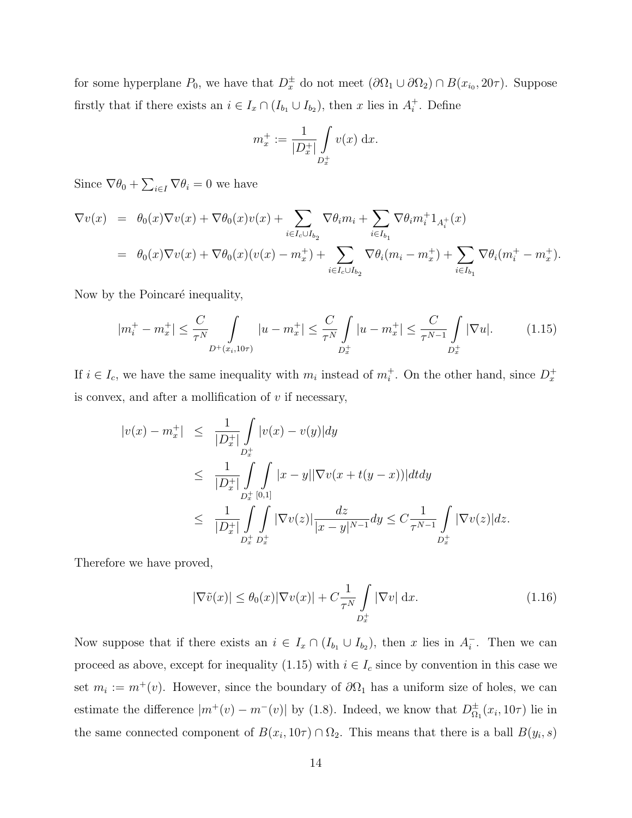for some hyperplane  $P_0$ , we have that  $D_x^{\pm}$  do not meet  $(\partial \Omega_1 \cup \partial \Omega_2) \cap B(x_{i_0}, 20\tau)$ . Suppose firstly that if there exists an  $i \in I_x \cap (I_{b_1} \cup I_{b_2})$ , then x lies in  $A_i^+$  $i^+$ . Define

$$
m_x^+ := \frac{1}{|D_x^+|} \int_{D_x^+} v(x) \, dx.
$$

Since  $\nabla \theta_0 + \sum_{i \in I} \nabla \theta_i = 0$  we have

$$
\nabla v(x) = \theta_0(x)\nabla v(x) + \nabla\theta_0(x)v(x) + \sum_{i \in I_c \cup I_{b_2}} \nabla\theta_i m_i + \sum_{i \in I_{b_1}} \nabla\theta_i m_i^+ 1_{A_i^+}(x)
$$
  
=  $\theta_0(x)\nabla v(x) + \nabla\theta_0(x)(v(x) - m_x^+) + \sum_{i \in I_c \cup I_{b_2}} \nabla\theta_i(m_i - m_x^+) + \sum_{i \in I_{b_1}} \nabla\theta_i(m_i^+ - m_x^+).$ 

Now by the Poincaré inequality,

$$
|m_i^+ - m_x^+| \le \frac{C}{\tau^N} \int_{D^+(x_i, 10\tau)} |u - m_x^+| \le \frac{C}{\tau^N} \int_{D_x^+} |u - m_x^+| \le \frac{C}{\tau^{N-1}} \int_{D_x^+} |\nabla u|. \tag{1.15}
$$

If  $i \in I_c$ , we have the same inequality with  $m_i$  instead of  $m_i^+$ . On the other hand, since  $D_x^+$ is convex, and after a mollification of  $v$  if necessary,

$$
|v(x) - m_x^+| \leq \frac{1}{|D_x^+|} \int_{D_x^+} |v(x) - v(y)| dy
$$
  
\n
$$
\leq \frac{1}{|D_x^+|} \int_{D_x^+} \int_{D_x^+} |x - y| |\nabla v(x + t(y - x))| dt dy
$$
  
\n
$$
\leq \frac{1}{|D_x^+|} \int_{D_x^+} \int_{D_x^+} |\nabla v(z)| \frac{dz}{|x - y|^{N-1}} dy \leq C \frac{1}{\tau^{N-1}} \int_{D_x^+} |\nabla v(z)| dz.
$$

Therefore we have proved,

$$
|\nabla \tilde{v}(x)| \le \theta_0(x)|\nabla v(x)| + C\frac{1}{\tau^N} \int\limits_{D_x^+} |\nabla v| \, \mathrm{d}x. \tag{1.16}
$$

Now suppose that if there exists an  $i \in I_x \cap (I_{b_1} \cup I_{b_2})$ , then x lies in  $A_i^ \overline{i}$ . Then we can proceed as above, except for inequality (1.15) with  $i \in I_c$  since by convention in this case we set  $m_i := m^+(v)$ . However, since the boundary of  $\partial\Omega_1$  has a uniform size of holes, we can estimate the difference  $|m^+(v) - m^-(v)|$  by (1.8). Indeed, we know that  $D_{\Omega}^{\pm}$  $_{\Omega_1}^{\pm}(x_i,10\tau)$  lie in the same connected component of  $B(x_i, 10\tau) \cap \Omega_2$ . This means that there is a ball  $B(y_i, s)$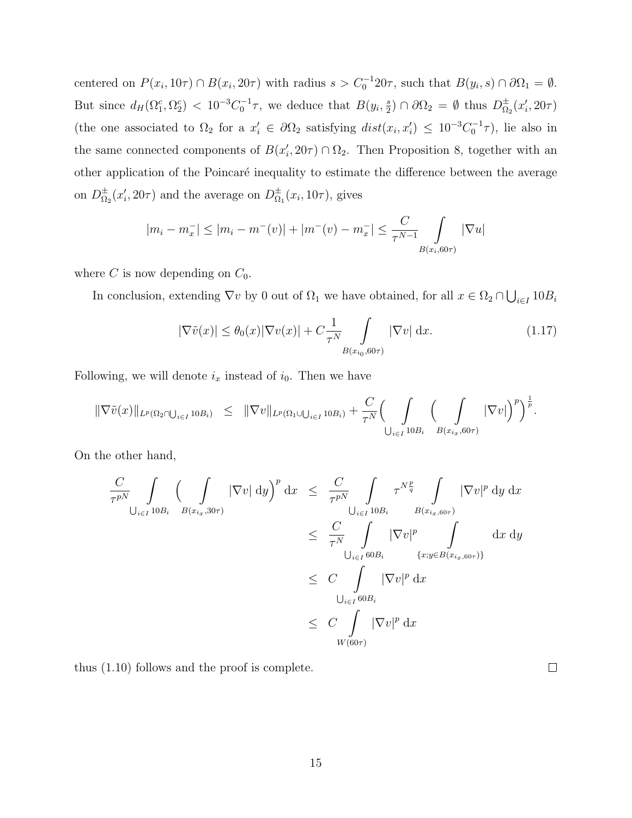centered on  $P(x_i, 10\tau) \cap B(x_i, 20\tau)$  with radius  $s > C_0^{-1}20\tau$ , such that  $B(y_i, s) \cap \partial\Omega_1 = \emptyset$ . But since  $d_H(\Omega_1^c, \Omega_2^c) < 10^{-3}C_0^{-1}\tau$ , we deduce that  $B(y_i, \frac{s}{2})$  $(\frac{s}{2}) \cap \partial \Omega_2 = \emptyset$  thus  $D_{\Omega_2}^{\pm}$  $\frac{1}{\Omega_2}(x'_i, 20\tau)$ (the one associated to  $\Omega_2$  for a  $x'_i \in \partial \Omega_2$  satisfying  $dist(x_i, x'_i) \leq 10^{-3}C_0^{-1}\tau$ ), lie also in the same connected components of  $B(x'_i, 20\tau) \cap \Omega_2$ . Then Proposition 8, together with an other application of the Poincaré inequality to estimate the difference between the average on  $D_{\Omega}^{\pm}$  $\frac{1}{\Omega_2}(x'_i, 20\tau)$  and the average on  $D_{\Omega}^{\pm}$  $\frac{1}{\Omega_1}(x_i, 10\tau)$ , gives

$$
|m_i - m_x^-| \le |m_i - m^-(v)| + |m^-(v) - m_x^-| \le \frac{C}{\tau^{N-1}} \int_{B(x_i, 60\tau)} |\nabla u|
$$

where C is now depending on  $C_0$ .

In conclusion, extending  $\nabla v$  by 0 out of  $\Omega_1$  we have obtained, for all  $x \in \Omega_2 \cap \bigcup_{i \in I} 10B_i$ 

$$
|\nabla \tilde{v}(x)| \le \theta_0(x)|\nabla v(x)| + C \frac{1}{\tau^N} \int\limits_{B(x_{i_0}, 60\tau)} |\nabla v| \, \mathrm{d}x. \tag{1.17}
$$

Following, we will denote  $i_x$  instead of  $i_0$ . Then we have

$$
\|\nabla \tilde{v}(x)\|_{L^p(\Omega_2 \cap \bigcup_{i \in I} 10B_i)} \leq \|\nabla v\|_{L^p(\Omega_1 \cup \bigcup_{i \in I} 10B_i)} + \frac{C}{\tau^N} \Big(\int_{\bigcup_{i \in I} 10B_i} \Big(\int_{B(x_{i_x}, 60\tau)} |\nabla v|\Big)^p\Big)^{\frac{1}{p}}.
$$

On the other hand,

$$
\frac{C}{\tau^{pN}} \int_{\bigcup_{i \in I} 10B_i} \left( \int_{B(x_{i_x}, 30\tau)} |\nabla v| \, dy \right)^p dx \leq \frac{C}{\tau^{pN}} \int_{\bigcup_{i \in I} 10B_i} \tau^{N\frac{p}{q}} \int_{B(x_{i_x, 60\tau})} |\nabla v|^p \, dy \, dx
$$
\n
$$
\leq \frac{C}{\tau^N} \int_{\bigcup_{i \in I} 60B_i} |\nabla v|^p \int_{\{x : y \in B(x_{i_x, 60\tau})\}} dx \, dy
$$
\n
$$
\leq C \int_{\bigcup_{i \in I} 60B_i} |\nabla v|^p \, dx
$$
\n
$$
\leq C \int_{W(60\tau)} |\nabla v|^p \, dx
$$

thus (1.10) follows and the proof is complete.

 $\Box$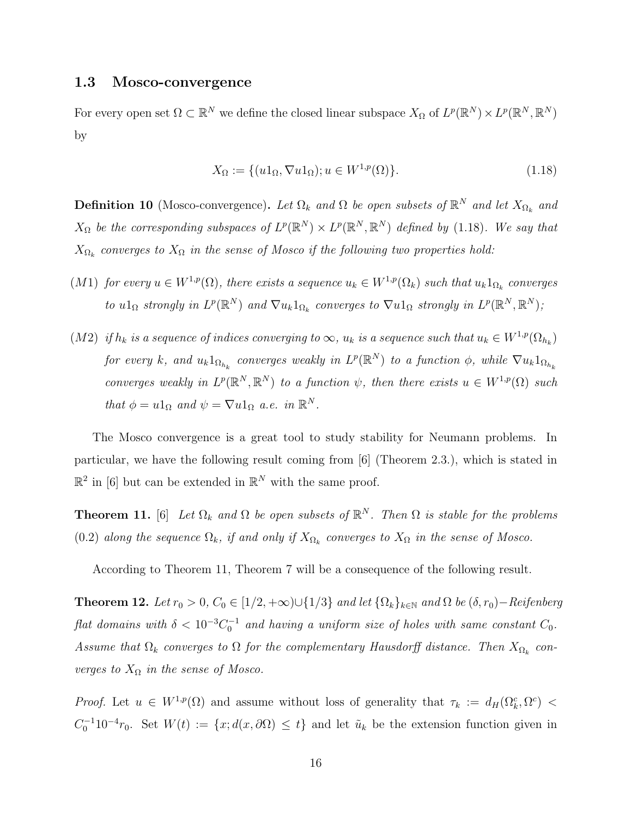#### 1.3 Mosco-convergence

For every open set  $\Omega \subset \mathbb{R}^N$  we define the closed linear subspace  $X_{\Omega}$  of  $L^p(\mathbb{R}^N) \times L^p(\mathbb{R}^N, \mathbb{R}^N)$ by

$$
X_{\Omega} := \{ (u1_{\Omega}, \nabla u1_{\Omega}); u \in W^{1,p}(\Omega) \}.
$$
\n
$$
(1.18)
$$

**Definition 10** (Mosco-convergence). Let  $\Omega_k$  and  $\Omega$  be open subsets of  $\mathbb{R}^N$  and let  $X_{\Omega_k}$  and  $X_{\Omega}$  be the corresponding subspaces of  $L^p(\mathbb{R}^N) \times L^p(\mathbb{R}^N, \mathbb{R}^N)$  defined by (1.18). We say that  $X_{\Omega_k}$  converges to  $X_{\Omega}$  in the sense of Mosco if the following two properties hold:

- $(M1)$  for every  $u \in W^{1,p}(\Omega)$ , there exists a sequence  $u_k \in W^{1,p}(\Omega_k)$  such that  $u_k 1_{\Omega_k}$  converges to  $u1_{\Omega}$  strongly in  $L^p(\mathbb{R}^N)$  and  $\nabla u_k 1_{\Omega_k}$  converges to  $\nabla u1_{\Omega}$  strongly in  $L^p(\mathbb{R}^N, \mathbb{R}^N)$ ;
- $(M2)$  if  $h_k$  is a sequence of indices converging to  $\infty$ ,  $u_k$  is a sequence such that  $u_k \in W^{1,p}(\Omega_{h_k})$ for every k, and  $u_k 1_{\Omega_{h_k}}$  converges weakly in  $L^p(\mathbb{R}^N)$  to a function  $\phi$ , while  $\nabla u_k 1_{\Omega_{h_k}}$ converges weakly in  $L^p(\mathbb{R}^N, \mathbb{R}^N)$  to a function  $\psi$ , then there exists  $u \in W^{1,p}(\Omega)$  such that  $\phi = u \mathbb{1}_{\Omega}$  and  $\psi = \nabla u \mathbb{1}_{\Omega}$  a.e. in  $\mathbb{R}^{N}$ .

The Mosco convergence is a great tool to study stability for Neumann problems. In particular, we have the following result coming from [6] (Theorem 2.3.), which is stated in  $\mathbb{R}^2$  in [6] but can be extended in  $\mathbb{R}^N$  with the same proof.

**Theorem 11.** [6] Let  $\Omega_k$  and  $\Omega$  be open subsets of  $\mathbb{R}^N$ . Then  $\Omega$  is stable for the problems (0.2) along the sequence  $\Omega_k$ , if and only if  $X_{\Omega_k}$  converges to  $X_{\Omega}$  in the sense of Mosco.

According to Theorem 11, Theorem 7 will be a consequence of the following result.

**Theorem 12.** Let  $r_0 > 0$ ,  $C_0 \in [1/2, +\infty) \cup \{1/3\}$  and let  $\{\Omega_k\}_{k \in \mathbb{N}}$  and  $\Omega$  be  $(\delta, r_0)$ -Reifenberg flat domains with  $\delta < 10^{-3}C_0^{-1}$  and having a uniform size of holes with same constant  $C_0$ . Assume that  $\Omega_k$  converges to  $\Omega$  for the complementary Hausdorff distance. Then  $X_{\Omega_k}$  converges to  $X_{\Omega}$  in the sense of Mosco.

*Proof.* Let  $u \in W^{1,p}(\Omega)$  and assume without loss of generality that  $\tau_k := d_H(\Omega_k^c, \Omega^c)$  $C_0^{-1}10^{-4}r_0$ . Set  $W(t) := \{x; d(x, \partial\Omega) \leq t\}$  and let  $\tilde{u}_k$  be the extension function given in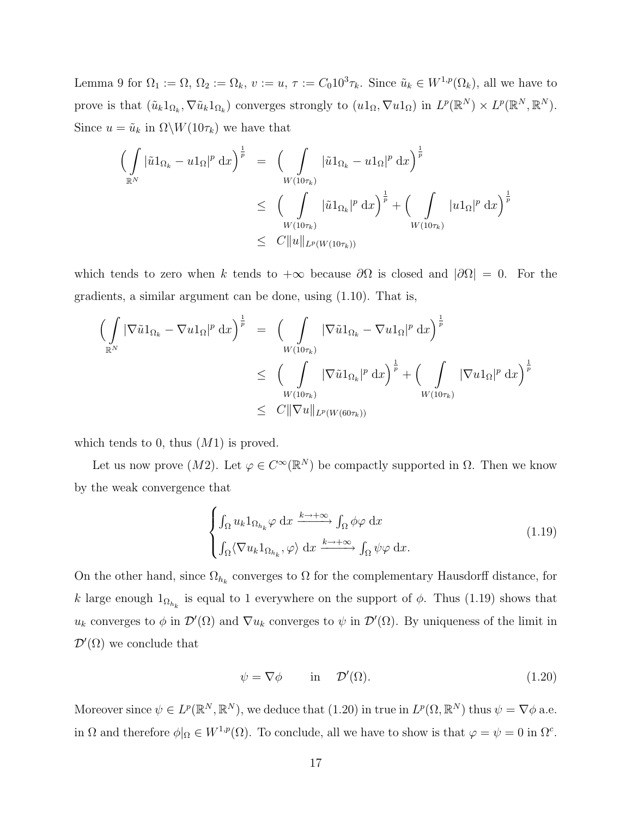Lemma 9 for  $\Omega_1 := \Omega$ ,  $\Omega_2 := \Omega_k$ ,  $v := u$ ,  $\tau := C_0 10^3 \tau_k$ . Since  $\tilde{u}_k \in W^{1,p}(\Omega_k)$ , all we have to prove is that  $(\tilde{u}_k 1_{\Omega_k}, \nabla \tilde{u}_k 1_{\Omega_k})$  converges strongly to  $(u1_{\Omega}, \nabla u1_{\Omega})$  in  $L^p(\mathbb{R}^N) \times L^p(\mathbb{R}^N, \mathbb{R}^N)$ . Since  $u = \tilde{u}_k$  in  $\Omega \backslash W(10\tau_k)$  we have that

$$
\left(\int\limits_{\mathbb{R}^N} |\tilde{u}1_{\Omega_k} - u1_{\Omega}|^p \,dx\right)^{\frac{1}{p}} = \left(\int\limits_{W(10\tau_k)} |\tilde{u}1_{\Omega_k} - u1_{\Omega}|^p \,dx\right)^{\frac{1}{p}}
$$
  

$$
\leq \left(\int\limits_{W(10\tau_k)} |\tilde{u}1_{\Omega_k}|^p \,dx\right)^{\frac{1}{p}} + \left(\int\limits_{W(10\tau_k)} |u1_{\Omega}|^p \,dx\right)^{\frac{1}{p}}
$$
  

$$
\leq C \|u\|_{L^p(W(10\tau_k))}
$$

which tends to zero when k tends to  $+\infty$  because  $\partial\Omega$  is closed and  $|\partial\Omega|=0$ . For the gradients, a similar argument can be done, using (1.10). That is,

$$
\left(\int_{\mathbb{R}^N} |\nabla \tilde{u}1_{\Omega_k} - \nabla u1_{\Omega}|^p \,dx\right)^{\frac{1}{p}} = \left(\int_{W(10\tau_k)} |\nabla \tilde{u}1_{\Omega_k} - \nabla u1_{\Omega}|^p \,dx\right)^{\frac{1}{p}}\n\n\leq \left(\int_{W(10\tau_k)} |\nabla \tilde{u}1_{\Omega_k}|^p \,dx\right)^{\frac{1}{p}} + \left(\int_{W(10\tau_k)} |\nabla u1_{\Omega}|^p \,dx\right)^{\frac{1}{p}}\n\n\leq C \|\nabla u\|_{L^p(W(60\tau_k))}
$$

which tends to 0, thus  $(M1)$  is proved.

Let us now prove  $(M2)$ . Let  $\varphi \in C^{\infty}(\mathbb{R}^N)$  be compactly supported in  $\Omega$ . Then we know by the weak convergence that

$$
\begin{cases}\n\int_{\Omega} u_k 1_{\Omega_{h_k}} \varphi \, dx \xrightarrow{k \to +\infty} \int_{\Omega} \phi \varphi \, dx \\
\int_{\Omega} \langle \nabla u_k 1_{\Omega_{h_k}}, \varphi \rangle \, dx \xrightarrow{k \to +\infty} \int_{\Omega} \psi \varphi \, dx.\n\end{cases}
$$
\n(1.19)

On the other hand, since  $\Omega_{h_k}$  converges to  $\Omega$  for the complementary Hausdorff distance, for k large enough  $1_{\Omega_{h_k}}$  is equal to 1 everywhere on the support of  $\phi$ . Thus (1.19) shows that  $u_k$  converges to  $\phi$  in  $\mathcal{D}'(\Omega)$  and  $\nabla u_k$  converges to  $\psi$  in  $\mathcal{D}'(\Omega)$ . By uniqueness of the limit in  $\mathcal{D}'(\Omega)$  we conclude that

$$
\psi = \nabla \phi \qquad \text{in} \quad \mathcal{D}'(\Omega). \tag{1.20}
$$

Moreover since  $\psi \in L^p(\mathbb{R}^N, \mathbb{R}^N)$ , we deduce that  $(1.20)$  in true in  $L^p(\Omega, \mathbb{R}^N)$  thus  $\psi = \nabla \phi$  a.e. in  $\Omega$  and therefore  $\phi|_{\Omega} \in W^{1,p}(\Omega)$ . To conclude, all we have to show is that  $\varphi = \psi = 0$  in  $\Omega^c$ .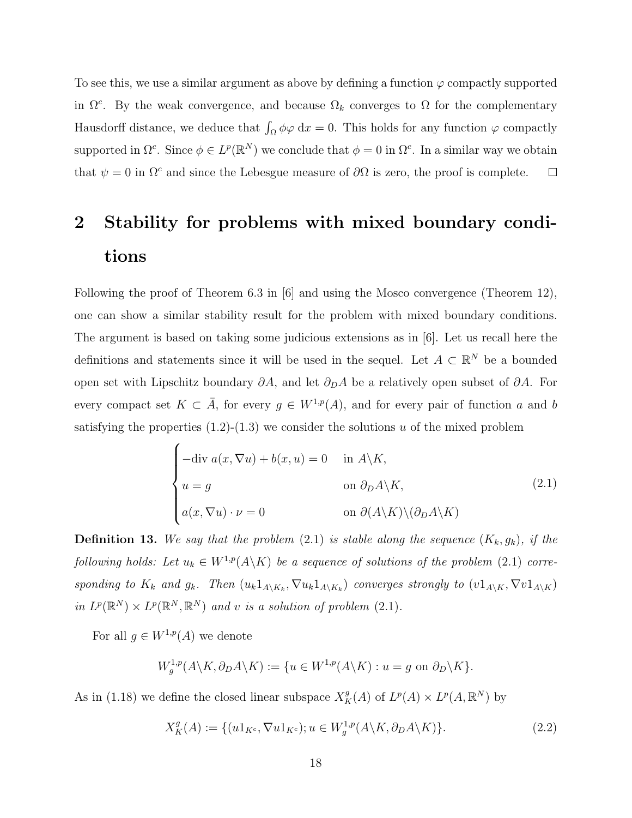To see this, we use a similar argument as above by defining a function  $\varphi$  compactly supported in  $\Omega^c$ . By the weak convergence, and because  $\Omega_k$  converges to  $\Omega$  for the complementary Hausdorff distance, we deduce that  $\int_{\Omega} \phi \varphi \, dx = 0$ . This holds for any function  $\varphi$  compactly supported in  $\Omega^c$ . Since  $\phi \in L^p(\mathbb{R}^N)$  we conclude that  $\phi = 0$  in  $\Omega^c$ . In a similar way we obtain that  $\psi = 0$  in  $\Omega^c$  and since the Lebesgue measure of  $\partial \Omega$  is zero, the proof is complete.  $\Box$ 

## 2 Stability for problems with mixed boundary conditions

Following the proof of Theorem 6.3 in [6] and using the Mosco convergence (Theorem 12), one can show a similar stability result for the problem with mixed boundary conditions. The argument is based on taking some judicious extensions as in [6]. Let us recall here the definitions and statements since it will be used in the sequel. Let  $A \subset \mathbb{R}^N$  be a bounded open set with Lipschitz boundary  $\partial A$ , and let  $\partial_D A$  be a relatively open subset of  $\partial A$ . For every compact set  $K \subset \overline{A}$ , for every  $g \in W^{1,p}(A)$ , and for every pair of function a and b satisfying the properties  $(1.2)-(1.3)$  we consider the solutions u of the mixed problem

$$
\begin{cases}\n-\text{div } a(x, \nabla u) + b(x, u) = 0 & \text{in } A \backslash K, \\
u = g & \text{on } \partial_D A \backslash K, \\
a(x, \nabla u) \cdot \nu = 0 & \text{on } \partial(A \backslash K) \backslash (\partial_D A \backslash K)\n\end{cases}
$$
\n(2.1)

**Definition 13.** We say that the problem (2.1) is stable along the sequence  $(K_k, g_k)$ , if the following holds: Let  $u_k \in W^{1,p}(A \backslash K)$  be a sequence of solutions of the problem (2.1) corresponding to  $K_k$  and  $g_k$ . Then  $(u_k 1_{A\setminus K_k}, \nabla u_k 1_{A\setminus K_k})$  converges strongly to  $(v1_{A\setminus K}, \nabla v1_{A\setminus K})$ in  $L^p(\mathbb{R}^N) \times L^p(\mathbb{R}^N, \mathbb{R}^N)$  and v is a solution of problem (2.1).

For all  $g \in W^{1,p}(A)$  we denote

$$
W_g^{1,p}(A \backslash K, \partial_D A \backslash K) := \{ u \in W^{1,p}(A \backslash K) : u = g \text{ on } \partial_D \backslash K \}.
$$

As in (1.18) we define the closed linear subspace  $X_K^g(A)$  of  $L^p(A) \times L^p(A, \mathbb{R}^N)$  by

$$
X_K^g(A) := \{ (u1_{K^c}, \nabla u1_{K^c}); u \in W_g^{1,p}(A \backslash K, \partial_D A \backslash K) \}. \tag{2.2}
$$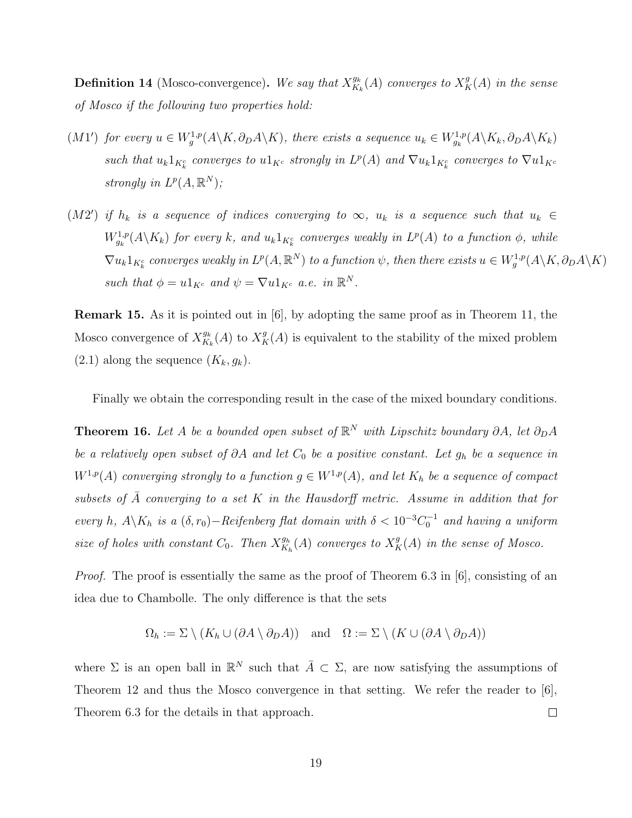**Definition 14** (Mosco-convergence). We say that  $X_{K}^{g_k}$  $\frac{g_k}{K_k}(A)$  converges to  $X^g_K(A)$  in the sense of Mosco if the following two properties hold:

- $(M1')$  for every  $u \in W_g^{1,p}(A \setminus K, \partial_D A \setminus K)$ , there exists a sequence  $u_k \in W_{g_k}^{1,p}(A \setminus K_k, \partial_D A \setminus K_k)$ such that  $u_k 1_{K_k^c}$  converges to  $u 1_{K^c}$  strongly in  $L^p(A)$  and  $\nabla u_k 1_{K_k^c}$  converges to  $\nabla u 1_{K^c}$ strongly in  $L^p(A,\mathbb{R}^N)$ ;
- (M2') if  $h_k$  is a sequence of indices converging to  $\infty$ ,  $u_k$  is a sequence such that  $u_k \in$  $W^{1,p}_{g_k}(A \backslash K_k)$  for every k, and  $u_k 1_{K_k^c}$  converges weakly in  $L^p(A)$  to a function  $\phi$ , while  $\nabla u_k 1_{K^c_k}$  converges weakly in  $L^p(A,\mathbb{R}^N)$  to a function  $\psi$ , then there exists  $u \in W^{1,p}_g(A\backslash K, \partial_D A\backslash K)$ such that  $\phi = u \mathbb{1}_{K^c}$  and  $\psi = \nabla u \mathbb{1}_{K^c}$  a.e. in  $\mathbb{R}^N$ .

Remark 15. As it is pointed out in [6], by adopting the same proof as in Theorem 11, the Mosco convergence of  $X^{g_k}_{K}$  $\frac{g_k}{K_k}(A)$  to  $X_K^g(A)$  is equivalent to the stability of the mixed problem  $(2.1)$  along the sequence  $(K_k, g_k)$ .

Finally we obtain the corresponding result in the case of the mixed boundary conditions.

**Theorem 16.** Let A be a bounded open subset of  $\mathbb{R}^N$  with Lipschitz boundary  $\partial A$ , let  $\partial_D A$ be a relatively open subset of  $\partial A$  and let  $C_0$  be a positive constant. Let  $g_h$  be a sequence in  $W^{1,p}(A)$  converging strongly to a function  $g \in W^{1,p}(A)$ , and let  $K_h$  be a sequence of compact subsets of  $\bar{A}$  converging to a set K in the Hausdorff metric. Assume in addition that for every h,  $A \backslash K_h$  is a  $(\delta, r_0) -$ Reifenberg flat domain with  $\delta < 10^{-3}C_0^{-1}$  and having a uniform size of holes with constant  $C_0$ . Then  $X^{g_h}_{K_t}$  $\frac{g_h}{K_h}(A)$  converges to  $X_K^g(A)$  in the sense of Mosco.

Proof. The proof is essentially the same as the proof of Theorem 6.3 in [6], consisting of an idea due to Chambolle. The only difference is that the sets

$$
\Omega_h := \Sigma \setminus (K_h \cup (\partial A \setminus \partial_D A)) \quad \text{and} \quad \Omega := \Sigma \setminus (K \cup (\partial A \setminus \partial_D A))
$$

where  $\Sigma$  is an open ball in  $\mathbb{R}^N$  such that  $\overline{A} \subset \Sigma$ , are now satisfying the assumptions of Theorem 12 and thus the Mosco convergence in that setting. We refer the reader to [6], Theorem 6.3 for the details in that approach.  $\Box$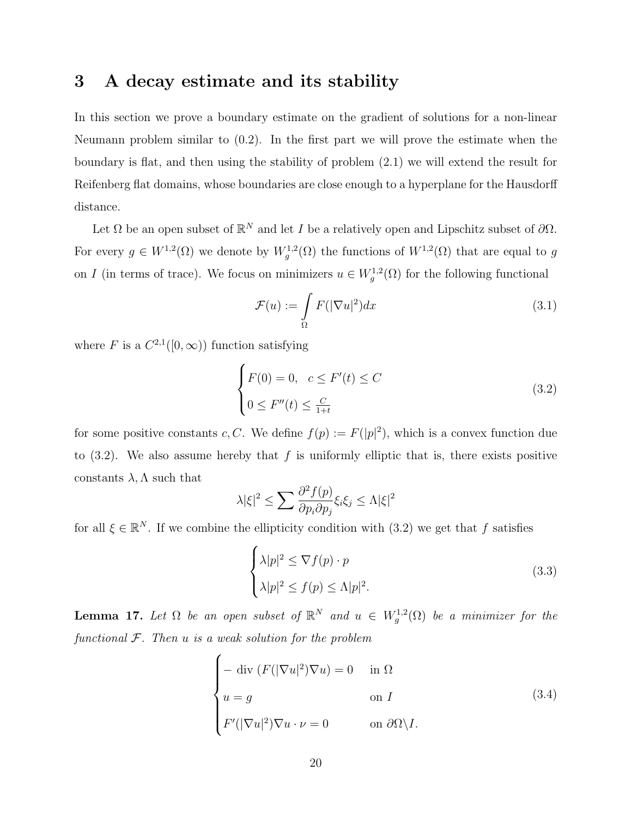### 3 A decay estimate and its stability

In this section we prove a boundary estimate on the gradient of solutions for a non-linear Neumann problem similar to (0.2). In the first part we will prove the estimate when the boundary is flat, and then using the stability of problem (2.1) we will extend the result for Reifenberg flat domains, whose boundaries are close enough to a hyperplane for the Hausdorff distance.

Let  $\Omega$  be an open subset of  $\mathbb{R}^N$  and let I be a relatively open and Lipschitz subset of  $\partial\Omega$ . For every  $g \in W^{1,2}(\Omega)$  we denote by  $W^{1,2}_g(\Omega)$  the functions of  $W^{1,2}(\Omega)$  that are equal to g on I (in terms of trace). We focus on minimizers  $u \in W_g^{1,2}(\Omega)$  for the following functional

$$
\mathcal{F}(u) := \int_{\Omega} F(|\nabla u|^2) dx \tag{3.1}
$$

where F is a  $C^{2,1}([0,\infty))$  function satisfying

$$
\begin{cases}\nF(0) = 0, & c \le F'(t) \le C \\
0 \le F''(t) \le \frac{C}{1+t}\n\end{cases}
$$
\n(3.2)

for some positive constants c, C. We define  $f(p) := F(|p|^2)$ , which is a convex function due to  $(3.2)$ . We also assume hereby that f is uniformly elliptic that is, there exists positive constants  $\lambda, \Lambda$  such that

$$
\lambda |\xi|^2 \le \sum \frac{\partial^2 f(p)}{\partial p_i \partial p_j} \xi_i \xi_j \le \Lambda |\xi|^2
$$

for all  $\xi \in \mathbb{R}^N$ . If we combine the ellipticity condition with  $(3.2)$  we get that f satisfies

$$
\begin{cases} \lambda |p|^2 \le \nabla f(p) \cdot p \\ \lambda |p|^2 \le f(p) \le \Lambda |p|^2. \end{cases} \tag{3.3}
$$

**Lemma 17.** Let  $\Omega$  be an open subset of  $\mathbb{R}^N$  and  $u \in W_g^{1,2}(\Omega)$  be a minimizer for the functional  $F$ . Then  $u$  is a weak solution for the problem

$$
\begin{cases}\n-\operatorname{div}\left(F(|\nabla u|^2)\nabla u\right) = 0 & \text{in } \Omega \\
u = g & \text{on } I \\
F'(|\nabla u|^2)\nabla u \cdot \nu = 0 & \text{on } \partial\Omega \setminus I.\n\end{cases}
$$
\n(3.4)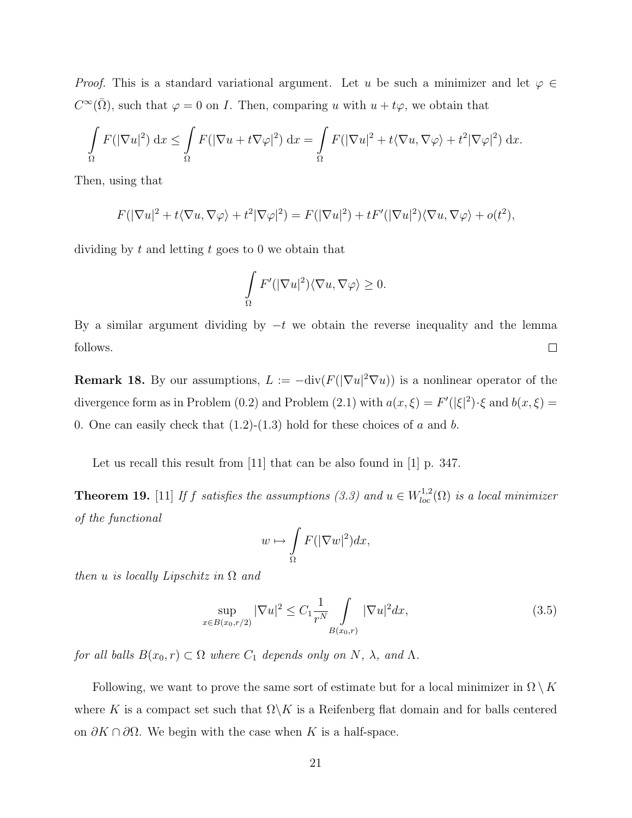*Proof.* This is a standard variational argument. Let u be such a minimizer and let  $\varphi \in$  $C^{\infty}(\overline{\Omega})$ , such that  $\varphi = 0$  on *I*. Then, comparing u with  $u + t\varphi$ , we obtain that

$$
\int_{\Omega} F(|\nabla u|^2) dx \leq \int_{\Omega} F(|\nabla u + t \nabla \varphi|^2) dx = \int_{\Omega} F(|\nabla u|^2 + t \langle \nabla u, \nabla \varphi \rangle + t^2 |\nabla \varphi|^2) dx.
$$

Then, using that

$$
F(|\nabla u|^2 + t\langle \nabla u, \nabla \varphi \rangle + t^2 |\nabla \varphi|^2) = F(|\nabla u|^2) + tF'(|\nabla u|^2)\langle \nabla u, \nabla \varphi \rangle + o(t^2),
$$

dividing by  $t$  and letting  $t$  goes to 0 we obtain that

$$
\int_{\Omega} F'(|\nabla u|^2) \langle \nabla u, \nabla \varphi \rangle \ge 0.
$$

By a similar argument dividing by  $-t$  we obtain the reverse inequality and the lemma follows.  $\Box$ 

**Remark 18.** By our assumptions,  $L := -\text{div}(F(|\nabla u|^2 \nabla u))$  is a nonlinear operator of the divergence form as in Problem (0.2) and Problem (2.1) with  $a(x,\xi) = F'(|\xi|^2) \cdot \xi$  and  $b(x,\xi) =$ 0. One can easily check that  $(1.2)-(1.3)$  hold for these choices of a and b.

Let us recall this result from [11] that can be also found in [1] p. 347.

**Theorem 19.** [11] If f satisfies the assumptions (3.3) and  $u \in W^{1,2}_{loc}(\Omega)$  is a local minimizer of the functional

$$
w \mapsto \int_{\Omega} F(|\nabla w|^2) dx,
$$

then u is locally Lipschitz in  $\Omega$  and

$$
\sup_{x \in B(x_0, r/2)} |\nabla u|^2 \le C_1 \frac{1}{r^N} \int_{B(x_0, r)} |\nabla u|^2 dx, \tag{3.5}
$$

for all balls  $B(x_0, r) \subset \Omega$  where  $C_1$  depends only on N,  $\lambda$ , and  $\Lambda$ .

Following, we want to prove the same sort of estimate but for a local minimizer in  $\Omega \setminus K$ where K is a compact set such that  $\Omega \backslash K$  is a Reifenberg flat domain and for balls centered on  $\partial K \cap \partial \Omega$ . We begin with the case when K is a half-space.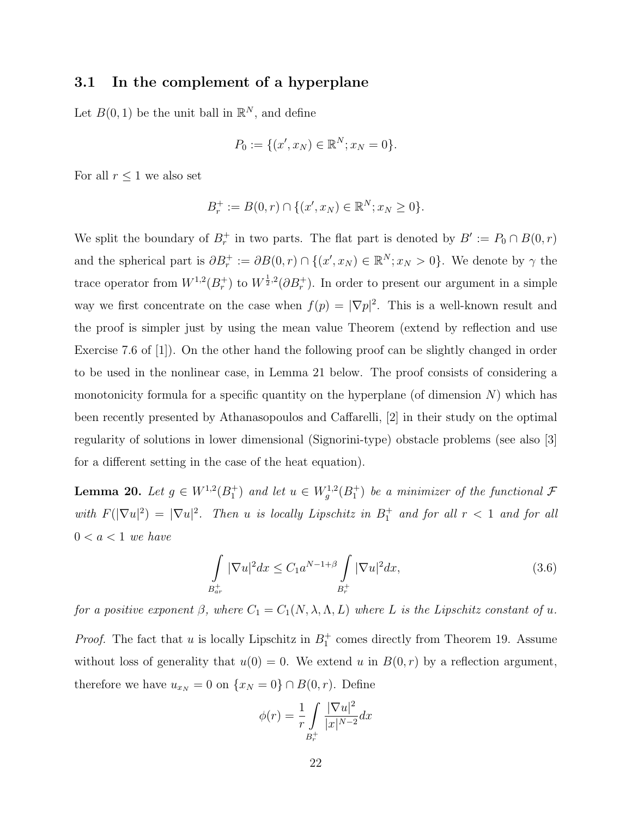#### 3.1 In the complement of a hyperplane

Let  $B(0, 1)$  be the unit ball in  $\mathbb{R}^N$ , and define

$$
P_0 := \{ (x', x_N) \in \mathbb{R}^N; x_N = 0 \}.
$$

For all  $r \leq 1$  we also set

$$
B_r^+ := B(0,r) \cap \{ (x', x_N) \in \mathbb{R}^N; x_N \ge 0 \}.
$$

We split the boundary of  $B_r^+$  in two parts. The flat part is denoted by  $B' := P_0 \cap B(0,r)$ and the spherical part is  $\partial B_r^+ := \partial B(0,r) \cap \{(x',x_N) \in \mathbb{R}^N; x_N > 0\}$ . We denote by  $\gamma$  the trace operator from  $W^{1,2}(B_r^+)$  to  $W^{\frac{1}{2},2}(\partial B_r^+)$ . In order to present our argument in a simple way we first concentrate on the case when  $f(p) = |\nabla p|^2$ . This is a well-known result and the proof is simpler just by using the mean value Theorem (extend by reflection and use Exercise 7.6 of [1]). On the other hand the following proof can be slightly changed in order to be used in the nonlinear case, in Lemma 21 below. The proof consists of considering a monotonicity formula for a specific quantity on the hyperplane (of dimension  $N$ ) which has been recently presented by Athanasopoulos and Caffarelli, [2] in their study on the optimal regularity of solutions in lower dimensional (Signorini-type) obstacle problems (see also [3] for a different setting in the case of the heat equation).

**Lemma 20.** Let  $g \in W^{1,2}(B_1^+)$  and let  $u \in W^{1,2}_g(B_1^+)$  be a minimizer of the functional  $\mathcal F$ with  $F(|\nabla u|^2) = |\nabla u|^2$ . Then u is locally Lipschitz in  $B_1^+$  and for all  $r < 1$  and for all  $0 < a < 1$  we have

$$
\int_{B_{ar}^+} |\nabla u|^2 dx \le C_1 a^{N-1+\beta} \int_{B_r^+} |\nabla u|^2 dx,
$$
\n(3.6)

for a positive exponent  $\beta$ , where  $C_1 = C_1(N, \lambda, \Lambda, L)$  where L is the Lipschitz constant of u.

*Proof.* The fact that u is locally Lipschitz in  $B_1^+$  comes directly from Theorem 19. Assume without loss of generality that  $u(0) = 0$ . We extend u in  $B(0, r)$  by a reflection argument, therefore we have  $u_{x_N} = 0$  on  $\{x_N = 0\} \cap B(0, r)$ . Define

$$
\phi(r) = \frac{1}{r} \int\limits_{B_r^+} \frac{|\nabla u|^2}{|x|^{N-2}} dx
$$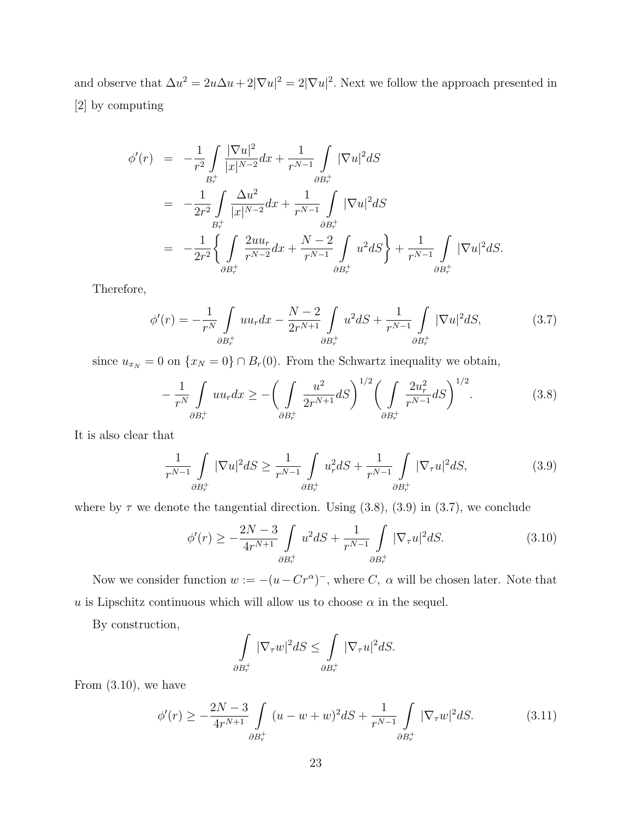and observe that  $\Delta u^2 = 2u\Delta u + 2|\nabla u|^2 = 2|\nabla u|^2$ . Next we follow the approach presented in [2] by computing

$$
\begin{split}\n\phi'(r) &= -\frac{1}{r^2} \int_{B_r^+} \frac{|\nabla u|^2}{|x|^{N-2}} dx + \frac{1}{r^{N-1}} \int_{\partial B_r^+} |\nabla u|^2 dS \\
&= -\frac{1}{2r^2} \int_{B_r^+} \frac{\Delta u^2}{|x|^{N-2}} dx + \frac{1}{r^{N-1}} \int_{\partial B_r^+} |\nabla u|^2 dS \\
&= -\frac{1}{2r^2} \left\{ \int_{\partial B_r^+} \frac{2uu_r}{r^{N-2}} dx + \frac{N-2}{r^{N-1}} \int_{\partial B_r^+} u^2 dS \right\} + \frac{1}{r^{N-1}} \int_{\partial B_r^+} |\nabla u|^2 dS.\n\end{split}
$$

Therefore,

$$
\phi'(r) = -\frac{1}{r^N} \int_{\partial B_r^+} u u_r dx - \frac{N-2}{2r^{N+1}} \int_{\partial B_r^+} u^2 dS + \frac{1}{r^{N-1}} \int_{\partial B_r^+} |\nabla u|^2 dS, \tag{3.7}
$$

since  $u_{x_N} = 0$  on  $\{x_N = 0\} \cap B_r(0)$ . From the Schwartz inequality we obtain,

$$
-\frac{1}{r^N} \int_{\partial B_r^+} uu_r dx \ge -\bigg(\int_{\partial B_r^+} \frac{u^2}{2r^{N+1}} dS\bigg)^{1/2} \bigg(\int_{\partial B_r^+} \frac{2u_r^2}{r^{N-1}} dS\bigg)^{1/2}.
$$
 (3.8)

It is also clear that

$$
\frac{1}{r^{N-1}} \int\limits_{\partial B_r^+} |\nabla u|^2 dS \ge \frac{1}{r^{N-1}} \int\limits_{\partial B_r^+} u_r^2 dS + \frac{1}{r^{N-1}} \int\limits_{\partial B_r^+} |\nabla_\tau u|^2 dS,\tag{3.9}
$$

where by  $\tau$  we denote the tangential direction. Using (3.8), (3.9) in (3.7), we conclude

$$
\phi'(r) \ge -\frac{2N-3}{4r^{N+1}} \int_{\partial B_r^+} u^2 dS + \frac{1}{r^{N-1}} \int_{\partial B_r^+} |\nabla_\tau u|^2 dS. \tag{3.10}
$$

Now we consider function  $w := -(u - Cr^{\alpha})^{-}$ , where C,  $\alpha$  will be chosen later. Note that u is Lipschitz continuous which will allow us to choose  $\alpha$  in the sequel.

By construction,

$$
\int_{\partial B_r^+} |\nabla_\tau w|^2 dS \le \int_{\partial B_r^+} |\nabla_\tau u|^2 dS.
$$

From (3.10), we have

$$
\phi'(r) \ge -\frac{2N-3}{4r^{N+1}} \int_{\partial B_r^+} (u - w + w)^2 dS + \frac{1}{r^{N-1}} \int_{\partial B_r^+} |\nabla_\tau w|^2 dS. \tag{3.11}
$$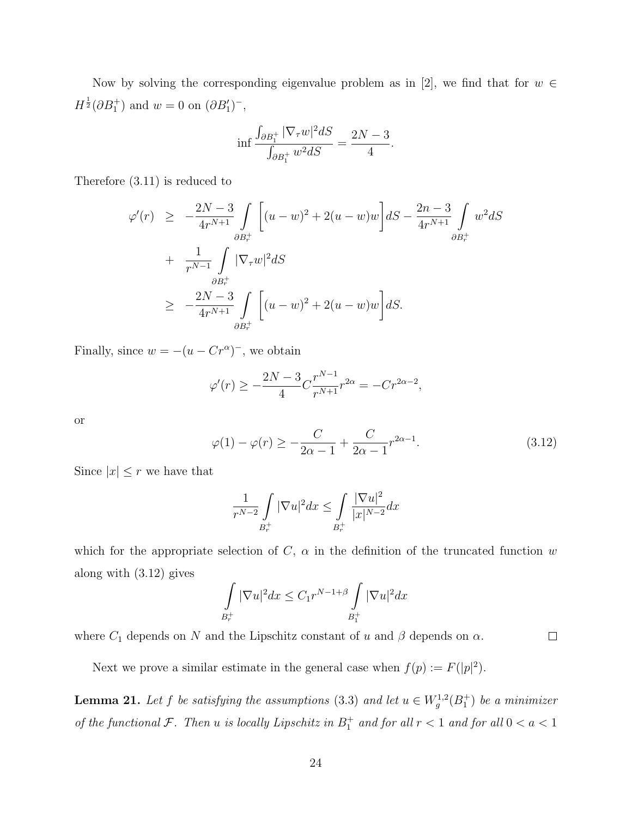Now by solving the corresponding eigenvalue problem as in [2], we find that for  $w \in$  $H^{\frac{1}{2}}(\partial B_1^+)$  and  $w = 0$  on  $(\partial B_1')^-,$ 

$$
\inf \frac{\int_{\partial B_1^+} |\nabla_\tau w|^2 dS}{\int_{\partial B_1^+} w^2 dS} = \frac{2N-3}{4}.
$$

Therefore (3.11) is reduced to

$$
\varphi'(r) \geq -\frac{2N-3}{4r^{N+1}} \int_{\partial B_r^+} \left[ (u-w)^2 + 2(u-w)w \right] dS - \frac{2n-3}{4r^{N+1}} \int_{\partial B_r^+} w^2 dS
$$
  
+ 
$$
\frac{1}{r^{N-1}} \int_{\partial B_r^+} |\nabla_r w|^2 dS
$$
  

$$
\geq -\frac{2N-3}{4r^{N+1}} \int_{\partial B_r^+} \left[ (u-w)^2 + 2(u-w)w \right] dS.
$$

Finally, since  $w = -(u - Cr^{\alpha})^{-}$ , we obtain

$$
\varphi'(r) \ge -\frac{2N-3}{4}C\frac{r^{N-1}}{r^{N+1}}r^{2\alpha} = -Cr^{2\alpha-2},
$$

or

$$
\varphi(1) - \varphi(r) \ge -\frac{C}{2\alpha - 1} + \frac{C}{2\alpha - 1} r^{2\alpha - 1}.
$$
\n(3.12)

 $\Box$ 

Since  $|x| \leq r$  we have that

$$
\frac{1}{r^{N-2}} \int\limits_{B_r^+} |\nabla u|^2 dx \le \int\limits_{B_r^+} \frac{|\nabla u|^2}{|x|^{N-2}} dx
$$

which for the appropriate selection of C,  $\alpha$  in the definition of the truncated function w along with (3.12) gives

$$
\int\limits_{B_{r}^+} |\nabla u|^2 dx \leq C_1 r^{N-1+\beta} \int\limits_{B_{1}^+} |\nabla u|^2 dx
$$

where  $C_1$  depends on N and the Lipschitz constant of u and  $\beta$  depends on  $\alpha$ .

Next we prove a similar estimate in the general case when  $f(p) := F(|p|^2)$ .

**Lemma 21.** Let f be satisfying the assumptions (3.3) and let  $u \in W^{1,2}_g(B_1^+)$  be a minimizer of the functional  $\mathcal{F}$ . Then u is locally Lipschitz in  $B_1^+$  and for all  $r < 1$  and for all  $0 < a < 1$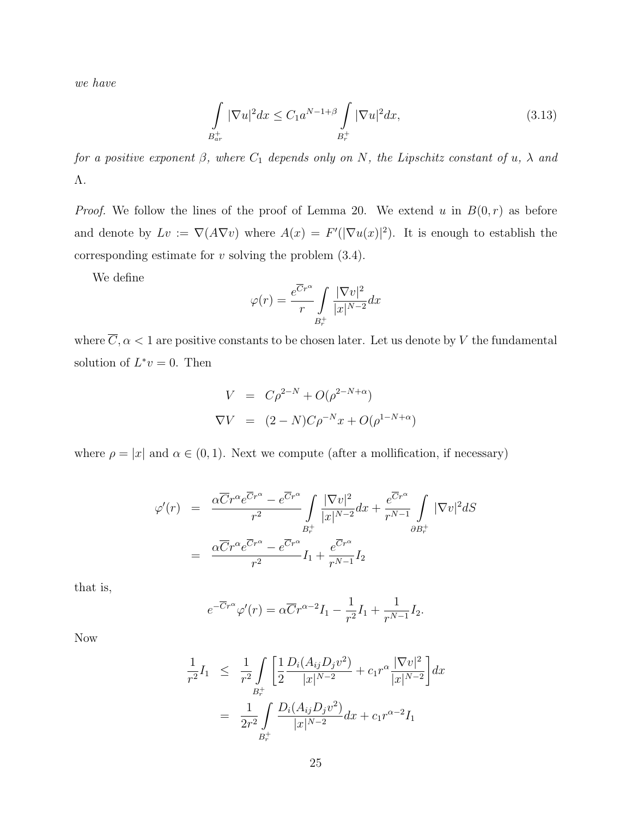we have

$$
\int_{B_{ar}^+} |\nabla u|^2 dx \le C_1 a^{N-1+\beta} \int_{B_r^+} |\nabla u|^2 dx,
$$
\n(3.13)

for a positive exponent  $\beta$ , where  $C_1$  depends only on N, the Lipschitz constant of u,  $\lambda$  and Λ.

*Proof.* We follow the lines of the proof of Lemma 20. We extend u in  $B(0,r)$  as before and denote by  $Lv := \nabla (A \nabla v)$  where  $A(x) = F'(|\nabla u(x)|^2)$ . It is enough to establish the corresponding estimate for  $v$  solving the problem  $(3.4)$ .

We define

$$
\varphi(r) = \frac{e^{\overline{C}r^{\alpha}}}{r} \int\limits_{B_r^+} \frac{|\nabla v|^2}{|x|^{N-2}} dx
$$

where  $\overline{C}, \alpha < 1$  are positive constants to be chosen later. Let us denote by V the fundamental solution of  $L^*v = 0$ . Then

$$
V = C\rho^{2-N} + O(\rho^{2-N+\alpha})
$$
  
\n
$$
\nabla V = (2-N)C\rho^{-N}x + O(\rho^{1-N+\alpha})
$$

where  $\rho = |x|$  and  $\alpha \in (0, 1)$ . Next we compute (after a mollification, if necessary)

$$
\varphi'(r) = \frac{\alpha \overline{C} r^{\alpha} e^{\overline{C} r^{\alpha}} - e^{\overline{C} r^{\alpha}}}{r^2} \int_{B_r^+} \frac{|\nabla v|^2}{|x|^{N-2}} dx + \frac{e^{\overline{C} r^{\alpha}}}{r^{N-1}} \int_{\partial B_r^+} |\nabla v|^2 dS
$$

$$
= \frac{\alpha \overline{C} r^{\alpha} e^{\overline{C} r^{\alpha}} - e^{\overline{C} r^{\alpha}}}{r^2} I_1 + \frac{e^{\overline{C} r^{\alpha}}}{r^{N-1}} I_2
$$

that is,

$$
e^{-\overline{C}r^{\alpha}}\varphi'(r) = \alpha \overline{C}r^{\alpha-2}I_1 - \frac{1}{r^2}I_1 + \frac{1}{r^{N-1}}I_2.
$$

Now

$$
\frac{1}{r^2} I_1 \leq \frac{1}{r^2} \int_{B_r^+} \left[ \frac{1}{2} \frac{D_i(A_{ij} D_j v^2)}{|x|^{N-2}} + c_1 r^{\alpha} \frac{|\nabla v|^2}{|x|^{N-2}} \right] dx
$$

$$
= \frac{1}{2r^2} \int_{B_r^+} \frac{D_i(A_{ij} D_j v^2)}{|x|^{N-2}} dx + c_1 r^{\alpha-2} I_1
$$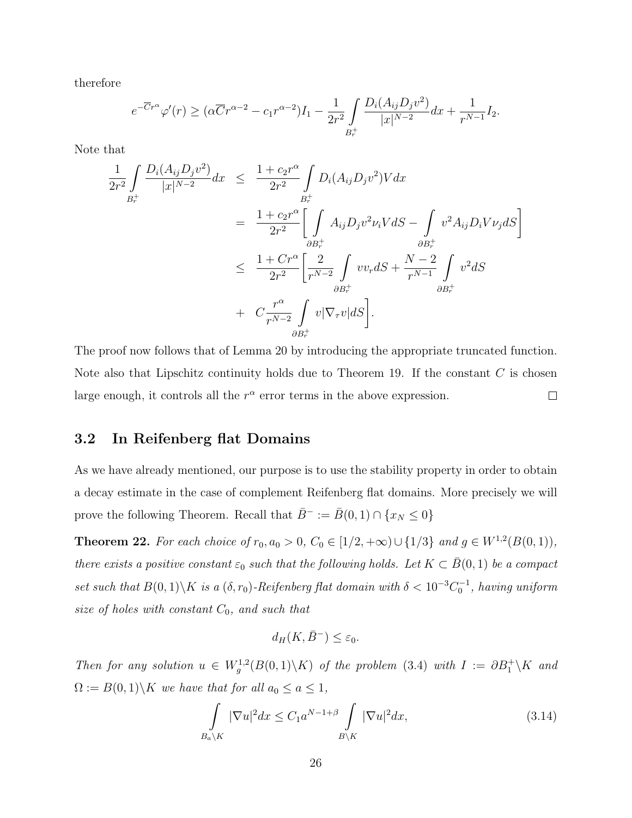therefore

$$
e^{-\overline{C}r^{\alpha}}\varphi'(r) \geq (\alpha \overline{C}r^{\alpha-2} - c_1r^{\alpha-2})I_1 - \frac{1}{2r^2} \int_{B_r^+} \frac{D_i(A_{ij}D_j v^2)}{|x|^{N-2}} dx + \frac{1}{r^{N-1}}I_2.
$$

Note that

$$
\frac{1}{2r^{2}} \int_{B_{r}^{+}} \frac{D_{i}(A_{ij}D_{j}v^{2})}{|x|^{N-2}} dx \leq \frac{1+c_{2}r^{\alpha}}{2r^{2}} \int_{B_{r}^{+}} D_{i}(A_{ij}D_{j}v^{2})V dx \n= \frac{1+c_{2}r^{\alpha}}{2r^{2}} \Bigg[ \int_{\partial B_{r}^{+}} A_{ij}D_{j}v^{2}\nu_{i}V dS - \int_{\partial B_{r}^{+}} v^{2}A_{ij}D_{i}V\nu_{j}dS \Bigg] \n\leq \frac{1+Cr^{\alpha}}{2r^{2}} \Bigg[ \frac{2}{r^{N-2}} \int_{\partial B_{r}^{+}} v v_{r}dS + \frac{N-2}{r^{N-1}} \int_{\partial B_{r}^{+}} v^{2}dS \n\frac{B_{r}^{+}}{2r^{N-2}} \int_{\partial B_{r}^{+}} v |\nabla_{\tau}v|dS \Bigg].
$$

The proof now follows that of Lemma 20 by introducing the appropriate truncated function. Note also that Lipschitz continuity holds due to Theorem 19. If the constant  $C$  is chosen large enough, it controls all the  $r^{\alpha}$  error terms in the above expression.  $\Box$ 

#### 3.2 In Reifenberg flat Domains

As we have already mentioned, our purpose is to use the stability property in order to obtain a decay estimate in the case of complement Reifenberg flat domains. More precisely we will prove the following Theorem. Recall that  $\bar{B}^- := \bar{B}(0,1) \cap \{x_N \leq 0\}$ 

**Theorem 22.** For each choice of  $r_0, a_0 > 0$ ,  $C_0 \in [1/2, +\infty) \cup \{1/3\}$  and  $g \in W^{1,2}(B(0,1))$ , there exists a positive constant  $\varepsilon_0$  such that the following holds. Let  $K \subset \overline{B}(0,1)$  be a compact set such that  $B(0,1)\backslash K$  is a  $(\delta,r_0)$ -Reifenberg flat domain with  $\delta < 10^{-3}C_0^{-1}$ , having uniform size of holes with constant  $C_0$ , and such that

$$
d_H(K, \bar{B}^-) \le \varepsilon_0.
$$

Then for any solution  $u \in W_g^{1,2}(B(0,1)\backslash K)$  of the problem (3.4) with  $I := \partial B_1^+ \backslash K$  and  $\Omega := B(0,1) \backslash K$  we have that for all  $a_0 \le a \le 1$ ,

$$
\int_{B_a \backslash K} |\nabla u|^2 dx \le C_1 a^{N-1+\beta} \int_{B \backslash K} |\nabla u|^2 dx,
$$
\n(3.14)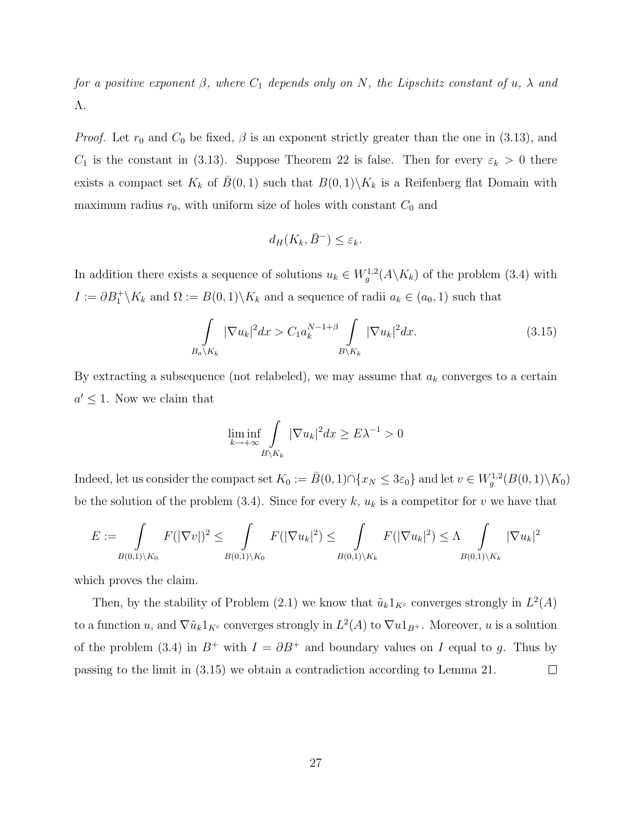for a positive exponent  $\beta$ , where  $C_1$  depends only on N, the Lipschitz constant of u,  $\lambda$  and Λ.

*Proof.* Let  $r_0$  and  $C_0$  be fixed,  $\beta$  is an exponent strictly greater than the one in (3.13), and  $C_1$  is the constant in (3.13). Suppose Theorem 22 is false. Then for every  $\varepsilon_k > 0$  there exists a compact set  $K_k$  of  $\bar{B}(0, 1)$  such that  $B(0, 1)\backslash K_k$  is a Reifenberg flat Domain with maximum radius  $r_0$ , with uniform size of holes with constant  $C_0$  and

$$
d_H(K_k, \bar{B}^-) \le \varepsilon_k.
$$

In addition there exists a sequence of solutions  $u_k \in W_g^{1,2}(A \backslash K_k)$  of the problem (3.4) with  $I := \partial B_1^+ \backslash K_k$  and  $\Omega := B(0,1) \backslash K_k$  and a sequence of radii  $a_k \in (a_0, 1)$  such that

$$
\int_{B_{a}\backslash K_{k}} |\nabla u_{k}|^{2} dx > C_{1} a_{k}^{N-1+\beta} \int_{B\backslash K_{k}} |\nabla u_{k}|^{2} dx.
$$
\n(3.15)

By extracting a subsequence (not relabeled), we may assume that  $a_k$  converges to a certain  $a' \leq 1$ . Now we claim that

$$
\liminf_{k \to +\infty} \int_{B \backslash K_k} |\nabla u_k|^2 dx \ge E\lambda^{-1} > 0
$$

Indeed, let us consider the compact set  $K_0 := \bar{B}(0,1) \cap \{x_N \leq 3\varepsilon_0\}$  and let  $v \in W_g^{1,2}(B(0,1) \setminus K_0)$ be the solution of the problem (3.4). Since for every k,  $u_k$  is a competitor for v we have that

$$
E := \int_{B(0,1)\setminus K_0} F(|\nabla v|)^2 \le \int_{B(0,1)\setminus K_0} F(|\nabla u_k|^2) \le \int_{B(0,1)\setminus K_k} F(|\nabla u_k|^2) \le \Lambda \int_{B(0,1)\setminus K_k} |\nabla u_k|^2
$$

which proves the claim.

Then, by the stability of Problem (2.1) we know that  $\tilde{u}_k 1_{K^c}$  converges strongly in  $L^2(A)$ to a function u, and  $\nabla \tilde{u}_k 1_{K^c}$  converges strongly in  $L^2(A)$  to  $\nabla u 1_{B^+}$ . Moreover, u is a solution of the problem (3.4) in  $B^+$  with  $I = \partial B^+$  and boundary values on I equal to g. Thus by passing to the limit in (3.15) we obtain a contradiction according to Lemma 21.  $\Box$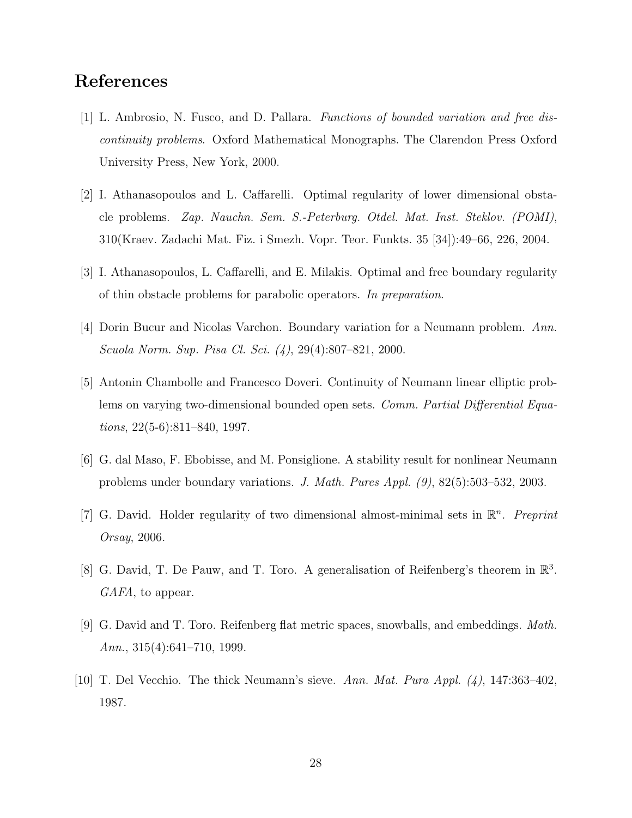### References

- [1] L. Ambrosio, N. Fusco, and D. Pallara. Functions of bounded variation and free discontinuity problems. Oxford Mathematical Monographs. The Clarendon Press Oxford University Press, New York, 2000.
- [2] I. Athanasopoulos and L. Caffarelli. Optimal regularity of lower dimensional obstacle problems. Zap. Nauchn. Sem. S.-Peterburg. Otdel. Mat. Inst. Steklov. (POMI), 310(Kraev. Zadachi Mat. Fiz. i Smezh. Vopr. Teor. Funkts. 35 [34]):49–66, 226, 2004.
- [3] I. Athanasopoulos, L. Caffarelli, and E. Milakis. Optimal and free boundary regularity of thin obstacle problems for parabolic operators. In preparation.
- [4] Dorin Bucur and Nicolas Varchon. Boundary variation for a Neumann problem. Ann. Scuola Norm. Sup. Pisa Cl. Sci. (4), 29(4):807–821, 2000.
- [5] Antonin Chambolle and Francesco Doveri. Continuity of Neumann linear elliptic problems on varying two-dimensional bounded open sets. Comm. Partial Differential Equations, 22(5-6):811–840, 1997.
- [6] G. dal Maso, F. Ebobisse, and M. Ponsiglione. A stability result for nonlinear Neumann problems under boundary variations. J. Math. Pures Appl. (9), 82(5):503–532, 2003.
- [7] G. David. Holder regularity of two dimensional almost-minimal sets in  $\mathbb{R}^n$ . Preprint Orsay, 2006.
- [8] G. David, T. De Pauw, and T. Toro. A generalisation of Reifenberg's theorem in  $\mathbb{R}^3$ . GAFA, to appear.
- [9] G. David and T. Toro. Reifenberg flat metric spaces, snowballs, and embeddings. Math. Ann., 315(4):641–710, 1999.
- [10] T. Del Vecchio. The thick Neumann's sieve. Ann. Mat. Pura Appl. (4), 147:363–402, 1987.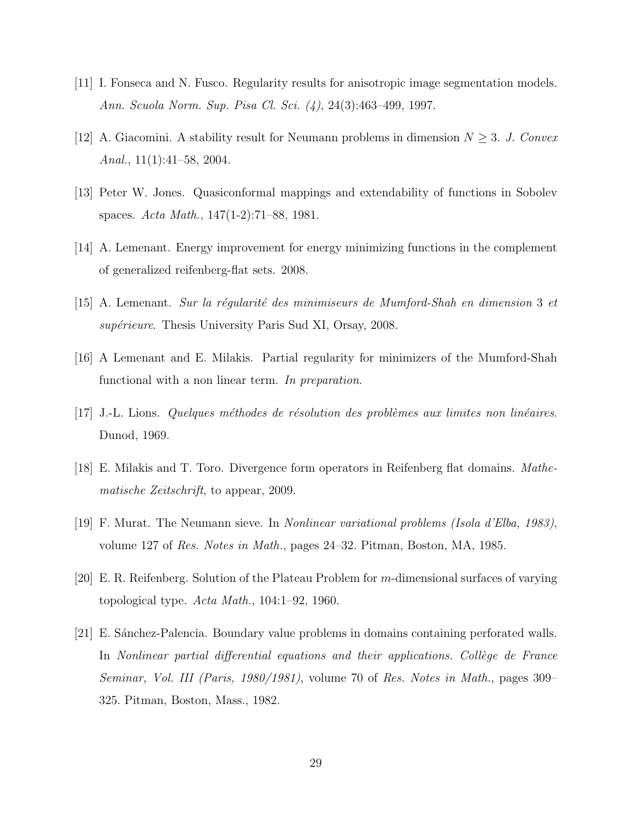- [11] I. Fonseca and N. Fusco. Regularity results for anisotropic image segmentation models. Ann. Scuola Norm. Sup. Pisa Cl. Sci. (4), 24(3):463–499, 1997.
- [12] A. Giacomini. A stability result for Neumann problems in dimension  $N \geq 3$ . J. Convex Anal.,  $11(1):41-58$ ,  $2004$ .
- [13] Peter W. Jones. Quasiconformal mappings and extendability of functions in Sobolev spaces. Acta Math., 147(1-2):71–88, 1981.
- [14] A. Lemenant. Energy improvement for energy minimizing functions in the complement of generalized reifenberg-flat sets. 2008.
- $[15]$  A. Lemenant. Sur la régularité des minimiseurs de Mumford-Shah en dimension 3 et supérieure. Thesis University Paris Sud XI, Orsay, 2008.
- [16] A Lemenant and E. Milakis. Partial regularity for minimizers of the Mumford-Shah functional with a non linear term. In preparation.
- $[17]$  J.-L. Lions. Quelques méthodes de résolution des problèmes aux limites non linéaires. Dunod, 1969.
- [18] E. Milakis and T. Toro. Divergence form operators in Reifenberg flat domains. Mathematische Zeitschrift, to appear, 2009.
- [19] F. Murat. The Neumann sieve. In Nonlinear variational problems (Isola d'Elba, 1983), volume 127 of Res. Notes in Math., pages 24–32. Pitman, Boston, MA, 1985.
- [20] E. R. Reifenberg. Solution of the Plateau Problem for m-dimensional surfaces of varying topological type.  $Acta Math., 104:1-92, 1960.$
- [21] E. S´anchez-Palencia. Boundary value problems in domains containing perforated walls. In Nonlinear partial differential equations and their applications. Collège de France Seminar, Vol. III (Paris, 1980/1981), volume 70 of Res. Notes in Math., pages 309– 325. Pitman, Boston, Mass., 1982.